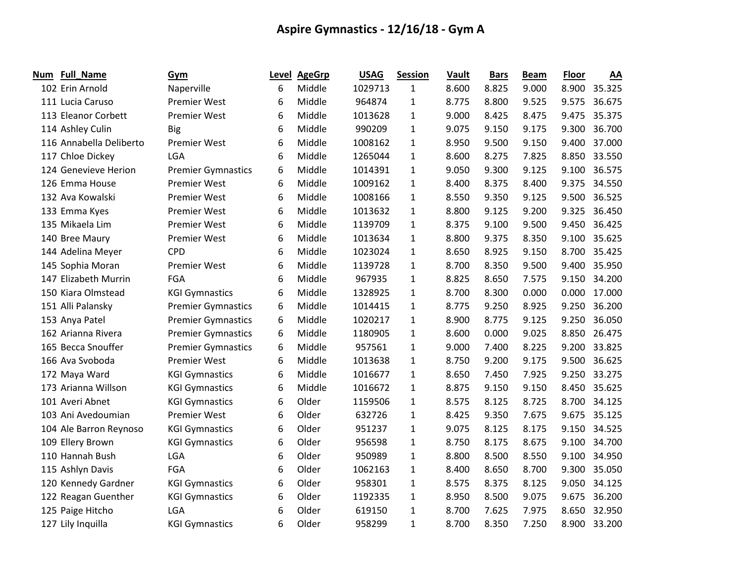| Num | Full_Name               | Gym                       | Level | <b>AgeGrp</b> | <b>USAG</b> | <b>Session</b> | Vault | <b>Bars</b> | <b>Beam</b> | <b>Floor</b> | AA     |
|-----|-------------------------|---------------------------|-------|---------------|-------------|----------------|-------|-------------|-------------|--------------|--------|
|     | 102 Erin Arnold         | Naperville                | 6     | Middle        | 1029713     | $\mathbf{1}$   | 8.600 | 8.825       | 9.000       | 8.900        | 35.325 |
|     | 111 Lucia Caruso        | <b>Premier West</b>       | 6     | Middle        | 964874      | $\mathbf{1}$   | 8.775 | 8.800       | 9.525       | 9.575        | 36.675 |
|     | 113 Eleanor Corbett     | <b>Premier West</b>       | 6     | Middle        | 1013628     | 1              | 9.000 | 8.425       | 8.475       | 9.475        | 35.375 |
|     | 114 Ashley Culin        | <b>Big</b>                | 6     | Middle        | 990209      | 1              | 9.075 | 9.150       | 9.175       | 9.300        | 36.700 |
|     | 116 Annabella Deliberto | <b>Premier West</b>       | 6     | Middle        | 1008162     | $\mathbf{1}$   | 8.950 | 9.500       | 9.150       | 9.400        | 37.000 |
|     | 117 Chloe Dickey        | <b>LGA</b>                | 6     | Middle        | 1265044     | 1              | 8.600 | 8.275       | 7.825       | 8.850        | 33.550 |
|     | 124 Genevieve Herion    | <b>Premier Gymnastics</b> | 6     | Middle        | 1014391     | 1              | 9.050 | 9.300       | 9.125       | 9.100        | 36.575 |
|     | 126 Emma House          | <b>Premier West</b>       | 6     | Middle        | 1009162     | 1              | 8.400 | 8.375       | 8.400       | 9.375        | 34.550 |
|     | 132 Ava Kowalski        | <b>Premier West</b>       | 6     | Middle        | 1008166     | 1              | 8.550 | 9.350       | 9.125       | 9.500        | 36.525 |
|     | 133 Emma Kyes           | <b>Premier West</b>       | 6     | Middle        | 1013632     | $\mathbf{1}$   | 8.800 | 9.125       | 9.200       | 9.325        | 36.450 |
|     | 135 Mikaela Lim         | <b>Premier West</b>       | 6     | Middle        | 1139709     | 1              | 8.375 | 9.100       | 9.500       | 9.450        | 36.425 |
|     | 140 Bree Maury          | Premier West              | 6     | Middle        | 1013634     | 1              | 8.800 | 9.375       | 8.350       | 9.100        | 35.625 |
|     | 144 Adelina Meyer       | <b>CPD</b>                | 6     | Middle        | 1023024     | 1              | 8.650 | 8.925       | 9.150       | 8.700        | 35.425 |
|     | 145 Sophia Moran        | <b>Premier West</b>       | 6     | Middle        | 1139728     | 1              | 8.700 | 8.350       | 9.500       | 9.400        | 35.950 |
|     | 147 Elizabeth Murrin    | FGA                       | 6     | Middle        | 967935      | 1              | 8.825 | 8.650       | 7.575       | 9.150        | 34.200 |
|     | 150 Kiara Olmstead      | <b>KGI Gymnastics</b>     | 6     | Middle        | 1328925     | 1              | 8.700 | 8.300       | 0.000       | 0.000        | 17.000 |
|     | 151 Alli Palansky       | <b>Premier Gymnastics</b> | 6     | Middle        | 1014415     | 1              | 8.775 | 9.250       | 8.925       | 9.250        | 36.200 |
|     | 153 Anya Patel          | <b>Premier Gymnastics</b> | 6     | Middle        | 1020217     | $\mathbf{1}$   | 8.900 | 8.775       | 9.125       | 9.250        | 36.050 |
|     | 162 Arianna Rivera      | <b>Premier Gymnastics</b> | 6     | Middle        | 1180905     | $\mathbf{1}$   | 8.600 | 0.000       | 9.025       | 8.850        | 26.475 |
|     | 165 Becca Snouffer      | <b>Premier Gymnastics</b> | 6     | Middle        | 957561      | $\mathbf{1}$   | 9.000 | 7.400       | 8.225       | 9.200        | 33.825 |
|     | 166 Ava Svoboda         | <b>Premier West</b>       | 6     | Middle        | 1013638     | 1              | 8.750 | 9.200       | 9.175       | 9.500        | 36.625 |
|     | 172 Maya Ward           | <b>KGI Gymnastics</b>     | 6     | Middle        | 1016677     | 1              | 8.650 | 7.450       | 7.925       | 9.250        | 33.275 |
|     | 173 Arianna Willson     | <b>KGI Gymnastics</b>     | 6     | Middle        | 1016672     | 1              | 8.875 | 9.150       | 9.150       | 8.450        | 35.625 |
|     | 101 Averi Abnet         | <b>KGI Gymnastics</b>     | 6     | Older         | 1159506     | 1              | 8.575 | 8.125       | 8.725       | 8.700        | 34.125 |
|     | 103 Ani Avedoumian      | <b>Premier West</b>       | 6     | Older         | 632726      | 1              | 8.425 | 9.350       | 7.675       | 9.675        | 35.125 |
|     | 104 Ale Barron Reynoso  | <b>KGI Gymnastics</b>     | 6     | Older         | 951237      | $\mathbf{1}$   | 9.075 | 8.125       | 8.175       | 9.150        | 34.525 |
|     | 109 Ellery Brown        | <b>KGI Gymnastics</b>     | 6     | Older         | 956598      | 1              | 8.750 | 8.175       | 8.675       | 9.100        | 34.700 |
|     | 110 Hannah Bush         | <b>LGA</b>                | 6     | Older         | 950989      | $\mathbf{1}$   | 8.800 | 8.500       | 8.550       | 9.100        | 34.950 |
|     | 115 Ashlyn Davis        | FGA                       | 6     | Older         | 1062163     | 1              | 8.400 | 8.650       | 8.700       | 9.300        | 35.050 |
|     | 120 Kennedy Gardner     | <b>KGI Gymnastics</b>     | 6     | Older         | 958301      | 1              | 8.575 | 8.375       | 8.125       | 9.050        | 34.125 |
|     | 122 Reagan Guenther     | <b>KGI Gymnastics</b>     | 6     | Older         | 1192335     | $\mathbf{1}$   | 8.950 | 8.500       | 9.075       | 9.675        | 36.200 |
|     | 125 Paige Hitcho        | <b>LGA</b>                | 6     | Older         | 619150      | 1              | 8.700 | 7.625       | 7.975       | 8.650        | 32.950 |
|     | 127 Lily Inquilla       | <b>KGI Gymnastics</b>     | 6     | Older         | 958299      | 1              | 8.700 | 8.350       | 7.250       | 8.900        | 33.200 |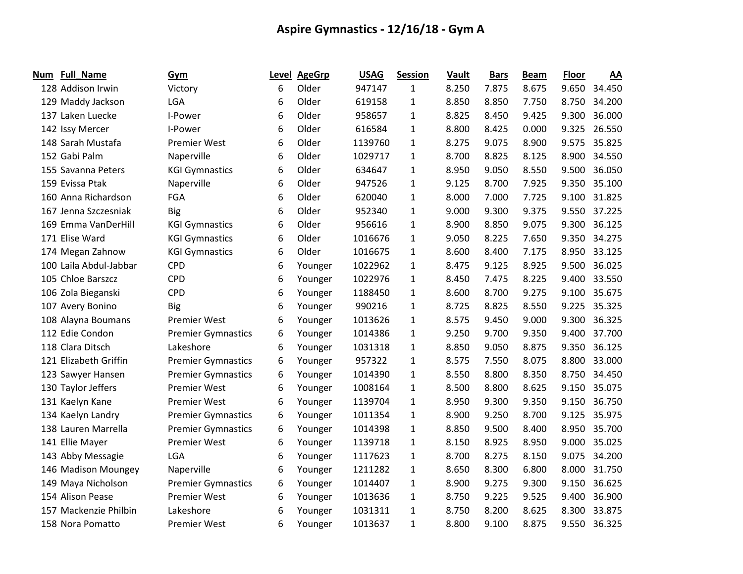| Num | <b>Full_Name</b>       | Gym                       | Level | <b>AgeGrp</b> | <b>USAG</b> | <b>Session</b> | Vault | <b>Bars</b> | <b>Beam</b> | <b>Floor</b> | AA     |
|-----|------------------------|---------------------------|-------|---------------|-------------|----------------|-------|-------------|-------------|--------------|--------|
|     | 128 Addison Irwin      | Victory                   | 6     | Older         | 947147      | 1              | 8.250 | 7.875       | 8.675       | 9.650        | 34.450 |
|     | 129 Maddy Jackson      | LGA                       | 6     | Older         | 619158      | $\mathbf{1}$   | 8.850 | 8.850       | 7.750       | 8.750        | 34.200 |
|     | 137 Laken Luecke       | I-Power                   | 6     | Older         | 958657      | 1              | 8.825 | 8.450       | 9.425       | 9.300        | 36.000 |
|     | 142 Issy Mercer        | I-Power                   | 6     | Older         | 616584      | 1              | 8.800 | 8.425       | 0.000       | 9.325        | 26.550 |
|     | 148 Sarah Mustafa      | <b>Premier West</b>       | 6     | Older         | 1139760     | 1              | 8.275 | 9.075       | 8.900       | 9.575        | 35.825 |
|     | 152 Gabi Palm          | Naperville                | 6     | Older         | 1029717     | $\mathbf{1}$   | 8.700 | 8.825       | 8.125       | 8.900        | 34.550 |
|     | 155 Savanna Peters     | <b>KGI Gymnastics</b>     | 6     | Older         | 634647      | $\mathbf{1}$   | 8.950 | 9.050       | 8.550       | 9.500        | 36.050 |
|     | 159 Evissa Ptak        | Naperville                | 6     | Older         | 947526      | $\mathbf{1}$   | 9.125 | 8.700       | 7.925       | 9.350        | 35.100 |
|     | 160 Anna Richardson    | FGA                       | 6     | Older         | 620040      | 1              | 8.000 | 7.000       | 7.725       | 9.100        | 31.825 |
|     | 167 Jenna Szczesniak   | <b>Big</b>                | 6     | Older         | 952340      | 1              | 9.000 | 9.300       | 9.375       | 9.550        | 37.225 |
|     | 169 Emma VanDerHill    | <b>KGI Gymnastics</b>     | 6     | Older         | 956616      | 1              | 8.900 | 8.850       | 9.075       | 9.300        | 36.125 |
|     | 171 Elise Ward         | <b>KGI Gymnastics</b>     | 6     | Older         | 1016676     | 1              | 9.050 | 8.225       | 7.650       | 9.350        | 34.275 |
|     | 174 Megan Zahnow       | <b>KGI Gymnastics</b>     | 6     | Older         | 1016675     | $\mathbf{1}$   | 8.600 | 8.400       | 7.175       | 8.950        | 33.125 |
|     | 100 Laila Abdul-Jabbar | <b>CPD</b>                | 6     | Younger       | 1022962     | $\mathbf{1}$   | 8.475 | 9.125       | 8.925       | 9.500        | 36.025 |
|     | 105 Chloe Barszcz      | <b>CPD</b>                | 6     | Younger       | 1022976     | 1              | 8.450 | 7.475       | 8.225       | 9.400        | 33.550 |
|     | 106 Zola Bieganski     | <b>CPD</b>                | 6     | Younger       | 1188450     | 1              | 8.600 | 8.700       | 9.275       | 9.100        | 35.675 |
|     | 107 Avery Bonino       | <b>Big</b>                | 6     | Younger       | 990216      | 1              | 8.725 | 8.825       | 8.550       | 9.225        | 35.325 |
|     | 108 Alayna Boumans     | <b>Premier West</b>       | 6     | Younger       | 1013626     | $\mathbf{1}$   | 8.575 | 9.450       | 9.000       | 9.300        | 36.325 |
|     | 112 Edie Condon        | <b>Premier Gymnastics</b> | 6     | Younger       | 1014386     | $\mathbf{1}$   | 9.250 | 9.700       | 9.350       | 9.400        | 37.700 |
|     | 118 Clara Ditsch       | Lakeshore                 | 6     | Younger       | 1031318     | 1              | 8.850 | 9.050       | 8.875       | 9.350        | 36.125 |
|     | 121 Elizabeth Griffin  | <b>Premier Gymnastics</b> | 6     | Younger       | 957322      | $\mathbf{1}$   | 8.575 | 7.550       | 8.075       | 8.800        | 33.000 |
|     | 123 Sawyer Hansen      | <b>Premier Gymnastics</b> | 6     | Younger       | 1014390     | 1              | 8.550 | 8.800       | 8.350       | 8.750        | 34.450 |
|     | 130 Taylor Jeffers     | <b>Premier West</b>       | 6     | Younger       | 1008164     | $\mathbf{1}$   | 8.500 | 8.800       | 8.625       | 9.150        | 35.075 |
|     | 131 Kaelyn Kane        | <b>Premier West</b>       | 6     | Younger       | 1139704     | $\mathbf{1}$   | 8.950 | 9.300       | 9.350       | 9.150        | 36.750 |
|     | 134 Kaelyn Landry      | <b>Premier Gymnastics</b> | 6     | Younger       | 1011354     | $\mathbf{1}$   | 8.900 | 9.250       | 8.700       | 9.125        | 35.975 |
|     | 138 Lauren Marrella    | <b>Premier Gymnastics</b> | 6     | Younger       | 1014398     | $\mathbf{1}$   | 8.850 | 9.500       | 8.400       | 8.950        | 35.700 |
|     | 141 Ellie Mayer        | <b>Premier West</b>       | 6     | Younger       | 1139718     | 1              | 8.150 | 8.925       | 8.950       | 9.000        | 35.025 |
|     | 143 Abby Messagie      | <b>LGA</b>                | 6     | Younger       | 1117623     | $\mathbf{1}$   | 8.700 | 8.275       | 8.150       | 9.075        | 34.200 |
|     | 146 Madison Moungey    | Naperville                | 6     | Younger       | 1211282     | 1              | 8.650 | 8.300       | 6.800       | 8.000        | 31.750 |
|     | 149 Maya Nicholson     | <b>Premier Gymnastics</b> | 6     | Younger       | 1014407     | $\mathbf{1}$   | 8.900 | 9.275       | 9.300       | 9.150        | 36.625 |
|     | 154 Alison Pease       | <b>Premier West</b>       | 6     | Younger       | 1013636     | $\mathbf{1}$   | 8.750 | 9.225       | 9.525       | 9.400        | 36.900 |
|     | 157 Mackenzie Philbin  | Lakeshore                 | 6     | Younger       | 1031311     | 1              | 8.750 | 8.200       | 8.625       | 8.300        | 33.875 |
|     | 158 Nora Pomatto       | <b>Premier West</b>       | 6     | Younger       | 1013637     | $\mathbf{1}$   | 8.800 | 9.100       | 8.875       | 9.550        | 36.325 |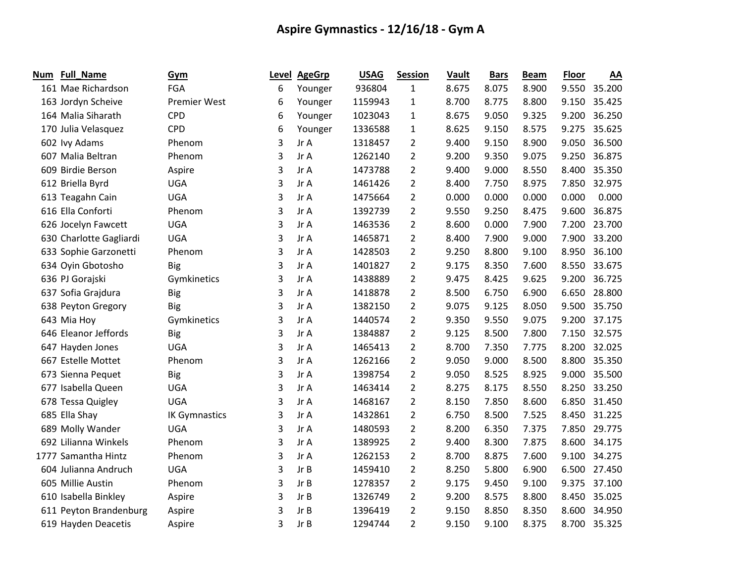| Num | <b>Full_Name</b>        | Gym                  | Level | <b>AgeGrp</b> | <b>USAG</b> | <b>Session</b> | Vault | <b>Bars</b> | <b>Beam</b> | <b>Floor</b> | AA     |
|-----|-------------------------|----------------------|-------|---------------|-------------|----------------|-------|-------------|-------------|--------------|--------|
|     | 161 Mae Richardson      | FGA                  | 6     | Younger       | 936804      | 1              | 8.675 | 8.075       | 8.900       | 9.550        | 35.200 |
|     | 163 Jordyn Scheive      | <b>Premier West</b>  | 6     | Younger       | 1159943     | 1              | 8.700 | 8.775       | 8.800       | 9.150        | 35.425 |
|     | 164 Malia Siharath      | <b>CPD</b>           | 6     | Younger       | 1023043     | $\mathbf{1}$   | 8.675 | 9.050       | 9.325       | 9.200        | 36.250 |
|     | 170 Julia Velasquez     | <b>CPD</b>           | 6     | Younger       | 1336588     | $\mathbf{1}$   | 8.625 | 9.150       | 8.575       | 9.275        | 35.625 |
|     | 602 lvy Adams           | Phenom               | 3     | Jr A          | 1318457     | $\overline{2}$ | 9.400 | 9.150       | 8.900       | 9.050        | 36.500 |
|     | 607 Malia Beltran       | Phenom               | 3     | Jr A          | 1262140     | $\overline{2}$ | 9.200 | 9.350       | 9.075       | 9.250        | 36.875 |
|     | 609 Birdie Berson       | Aspire               | 3     | Jr A          | 1473788     | $\overline{2}$ | 9.400 | 9.000       | 8.550       | 8.400        | 35.350 |
|     | 612 Briella Byrd        | <b>UGA</b>           | 3     | Jr A          | 1461426     | $\overline{2}$ | 8.400 | 7.750       | 8.975       | 7.850        | 32.975 |
|     | 613 Teagahn Cain        | <b>UGA</b>           | 3     | Jr A          | 1475664     | $\overline{2}$ | 0.000 | 0.000       | 0.000       | 0.000        | 0.000  |
|     | 616 Ella Conforti       | Phenom               | 3     | Jr A          | 1392739     | 2              | 9.550 | 9.250       | 8.475       | 9.600        | 36.875 |
|     | 626 Jocelyn Fawcett     | <b>UGA</b>           | 3     | Jr A          | 1463536     | $\overline{2}$ | 8.600 | 0.000       | 7.900       | 7.200        | 23.700 |
|     | 630 Charlotte Gagliardi | <b>UGA</b>           | 3     | Jr A          | 1465871     | $\overline{2}$ | 8.400 | 7.900       | 9.000       | 7.900        | 33.200 |
|     | 633 Sophie Garzonetti   | Phenom               | 3     | Jr A          | 1428503     | $\overline{2}$ | 9.250 | 8.800       | 9.100       | 8.950        | 36.100 |
|     | 634 Oyin Gbotosho       | Big                  | 3     | Jr A          | 1401827     | $\overline{2}$ | 9.175 | 8.350       | 7.600       | 8.550        | 33.675 |
|     | 636 PJ Gorajski         | Gymkinetics          | 3     | Jr A          | 1438889     | 2              | 9.475 | 8.425       | 9.625       | 9.200        | 36.725 |
|     | 637 Sofia Grajdura      | <b>Big</b>           | 3     | Jr A          | 1418878     | $\overline{2}$ | 8.500 | 6.750       | 6.900       | 6.650        | 28.800 |
|     | 638 Peyton Gregory      | <b>Big</b>           | 3     | Jr A          | 1382150     | $\overline{2}$ | 9.075 | 9.125       | 8.050       | 9.500        | 35.750 |
|     | 643 Mia Hoy             | Gymkinetics          | 3     | Jr A          | 1440574     | $\overline{2}$ | 9.350 | 9.550       | 9.075       | 9.200        | 37.175 |
|     | 646 Eleanor Jeffords    | Big                  | 3     | Jr A          | 1384887     | $\overline{2}$ | 9.125 | 8.500       | 7.800       | 7.150        | 32.575 |
|     | 647 Hayden Jones        | <b>UGA</b>           | 3     | Jr A          | 1465413     | $\overline{2}$ | 8.700 | 7.350       | 7.775       | 8.200        | 32.025 |
|     | 667 Estelle Mottet      | Phenom               | 3     | Jr A          | 1262166     | $\overline{2}$ | 9.050 | 9.000       | 8.500       | 8.800        | 35.350 |
|     | 673 Sienna Pequet       | <b>Big</b>           | 3     | Jr A          | 1398754     | $\overline{2}$ | 9.050 | 8.525       | 8.925       | 9.000        | 35.500 |
|     | 677 Isabella Queen      | <b>UGA</b>           | 3     | Jr A          | 1463414     | $\overline{2}$ | 8.275 | 8.175       | 8.550       | 8.250        | 33.250 |
|     | 678 Tessa Quigley       | <b>UGA</b>           | 3     | Jr A          | 1468167     | $\overline{2}$ | 8.150 | 7.850       | 8.600       | 6.850        | 31.450 |
|     | 685 Ella Shay           | <b>IK Gymnastics</b> | 3     | Jr A          | 1432861     | 2              | 6.750 | 8.500       | 7.525       | 8.450        | 31.225 |
|     | 689 Molly Wander        | <b>UGA</b>           | 3     | Jr A          | 1480593     | $\overline{2}$ | 8.200 | 6.350       | 7.375       | 7.850        | 29.775 |
|     | 692 Lilianna Winkels    | Phenom               | 3     | Jr A          | 1389925     | 2              | 9.400 | 8.300       | 7.875       | 8.600        | 34.175 |
|     | 1777 Samantha Hintz     | Phenom               | 3     | Jr A          | 1262153     | $\overline{2}$ | 8.700 | 8.875       | 7.600       | 9.100        | 34.275 |
|     | 604 Julianna Andruch    | <b>UGA</b>           | 3     | Jr B          | 1459410     | $\overline{2}$ | 8.250 | 5.800       | 6.900       | 6.500        | 27.450 |
|     | 605 Millie Austin       | Phenom               | 3     | Jr B          | 1278357     | $\overline{2}$ | 9.175 | 9.450       | 9.100       | 9.375        | 37.100 |
|     | 610 Isabella Binkley    | Aspire               | 3     | Jr B          | 1326749     | $\overline{2}$ | 9.200 | 8.575       | 8.800       | 8.450        | 35.025 |
|     | 611 Peyton Brandenburg  | Aspire               | 3     | Jr B          | 1396419     | $\overline{2}$ | 9.150 | 8.850       | 8.350       | 8.600        | 34.950 |
|     | 619 Hayden Deacetis     | Aspire               | 3     | Jr B          | 1294744     | $\overline{2}$ | 9.150 | 9.100       | 8.375       | 8.700        | 35.325 |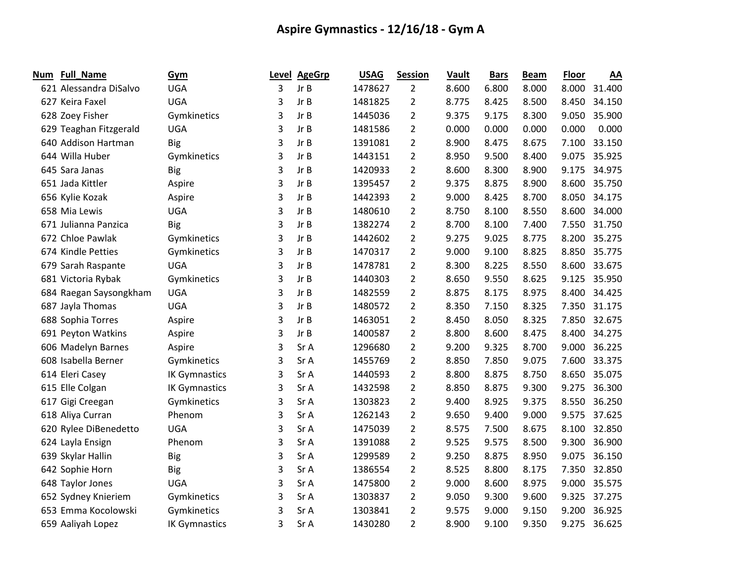| Num | <b>Full_Name</b>       | Gym                  | Level | <b>AgeGrp</b> | <b>USAG</b> | <b>Session</b> | Vault | <b>Bars</b> | <b>Beam</b> | <b>Floor</b> | AA     |
|-----|------------------------|----------------------|-------|---------------|-------------|----------------|-------|-------------|-------------|--------------|--------|
|     | 621 Alessandra DiSalvo | <b>UGA</b>           | 3     | Jr B          | 1478627     | 2              | 8.600 | 6.800       | 8.000       | 8.000        | 31.400 |
|     | 627 Keira Faxel        | <b>UGA</b>           | 3     | Jr B          | 1481825     | $\overline{2}$ | 8.775 | 8.425       | 8.500       | 8.450        | 34.150 |
|     | 628 Zoey Fisher        | Gymkinetics          | 3     | Jr B          | 1445036     | 2              | 9.375 | 9.175       | 8.300       | 9.050        | 35.900 |
|     | 629 Teaghan Fitzgerald | <b>UGA</b>           | 3     | Jr B          | 1481586     | $\overline{2}$ | 0.000 | 0.000       | 0.000       | 0.000        | 0.000  |
|     | 640 Addison Hartman    | <b>Big</b>           | 3     | Jr B          | 1391081     | $\overline{2}$ | 8.900 | 8.475       | 8.675       | 7.100        | 33.150 |
|     | 644 Willa Huber        | Gymkinetics          | 3     | Jr B          | 1443151     | $\overline{2}$ | 8.950 | 9.500       | 8.400       | 9.075        | 35.925 |
|     | 645 Sara Janas         | <b>Big</b>           | 3     | Jr B          | 1420933     | $\overline{2}$ | 8.600 | 8.300       | 8.900       | 9.175        | 34.975 |
|     | 651 Jada Kittler       | Aspire               | 3     | Jr B          | 1395457     | $\overline{2}$ | 9.375 | 8.875       | 8.900       | 8.600        | 35.750 |
|     | 656 Kylie Kozak        | Aspire               | 3     | Jr B          | 1442393     | $\overline{2}$ | 9.000 | 8.425       | 8.700       | 8.050        | 34.175 |
|     | 658 Mia Lewis          | <b>UGA</b>           | 3     | Jr B          | 1480610     | $\overline{2}$ | 8.750 | 8.100       | 8.550       | 8.600        | 34.000 |
|     | 671 Julianna Panzica   | <b>Big</b>           | 3     | Jr B          | 1382274     | $\overline{2}$ | 8.700 | 8.100       | 7.400       | 7.550        | 31.750 |
|     | 672 Chloe Pawlak       | Gymkinetics          | 3     | Jr B          | 1442602     | $\overline{2}$ | 9.275 | 9.025       | 8.775       | 8.200        | 35.275 |
|     | 674 Kindle Petties     | Gymkinetics          | 3     | Jr B          | 1470317     | $\overline{2}$ | 9.000 | 9.100       | 8.825       | 8.850        | 35.775 |
|     | 679 Sarah Raspante     | <b>UGA</b>           | 3     | Jr B          | 1478781     | $\overline{2}$ | 8.300 | 8.225       | 8.550       | 8.600        | 33.675 |
|     | 681 Victoria Rybak     | Gymkinetics          | 3     | Jr B          | 1440303     | $\overline{2}$ | 8.650 | 9.550       | 8.625       | 9.125        | 35.950 |
|     | 684 Raegan Saysongkham | <b>UGA</b>           | 3     | Jr B          | 1482559     | $\overline{2}$ | 8.875 | 8.175       | 8.975       | 8.400        | 34.425 |
|     | 687 Jayla Thomas       | <b>UGA</b>           | 3     | Jr B          | 1480572     | $\overline{2}$ | 8.350 | 7.150       | 8.325       | 7.350        | 31.175 |
|     | 688 Sophia Torres      | Aspire               | 3     | Jr B          | 1463051     | $\overline{2}$ | 8.450 | 8.050       | 8.325       | 7.850        | 32.675 |
|     | 691 Peyton Watkins     | Aspire               | 3     | Jr B          | 1400587     | $\overline{2}$ | 8.800 | 8.600       | 8.475       | 8.400        | 34.275 |
|     | 606 Madelyn Barnes     | Aspire               | 3     | Sr A          | 1296680     | $\overline{2}$ | 9.200 | 9.325       | 8.700       | 9.000        | 36.225 |
|     | 608 Isabella Berner    | Gymkinetics          | 3     | Sr A          | 1455769     | $\overline{2}$ | 8.850 | 7.850       | 9.075       | 7.600        | 33.375 |
|     | 614 Eleri Casey        | <b>IK Gymnastics</b> | 3     | Sr A          | 1440593     | $\overline{2}$ | 8.800 | 8.875       | 8.750       | 8.650        | 35.075 |
|     | 615 Elle Colgan        | <b>IK Gymnastics</b> | 3     | Sr A          | 1432598     | $\overline{2}$ | 8.850 | 8.875       | 9.300       | 9.275        | 36.300 |
|     | 617 Gigi Creegan       | Gymkinetics          | 3     | Sr A          | 1303823     | $\overline{2}$ | 9.400 | 8.925       | 9.375       | 8.550        | 36.250 |
|     | 618 Aliya Curran       | Phenom               | 3     | Sr A          | 1262143     | $\overline{2}$ | 9.650 | 9.400       | 9.000       | 9.575        | 37.625 |
|     | 620 Rylee DiBenedetto  | <b>UGA</b>           | 3     | Sr A          | 1475039     | $\overline{2}$ | 8.575 | 7.500       | 8.675       | 8.100        | 32.850 |
|     | 624 Layla Ensign       | Phenom               | 3     | Sr A          | 1391088     | 2              | 9.525 | 9.575       | 8.500       | 9.300        | 36.900 |
|     | 639 Skylar Hallin      | <b>Big</b>           | 3     | Sr A          | 1299589     | $\overline{2}$ | 9.250 | 8.875       | 8.950       | 9.075        | 36.150 |
|     | 642 Sophie Horn        | <b>Big</b>           | 3     | Sr A          | 1386554     | $\overline{2}$ | 8.525 | 8.800       | 8.175       | 7.350        | 32.850 |
|     | 648 Taylor Jones       | <b>UGA</b>           | 3     | Sr A          | 1475800     | $\overline{2}$ | 9.000 | 8.600       | 8.975       | 9.000        | 35.575 |
|     | 652 Sydney Knieriem    | Gymkinetics          | 3     | Sr A          | 1303837     | $\overline{2}$ | 9.050 | 9.300       | 9.600       | 9.325        | 37.275 |
|     | 653 Emma Kocolowski    | Gymkinetics          | 3     | Sr A          | 1303841     | $\overline{2}$ | 9.575 | 9.000       | 9.150       | 9.200        | 36.925 |
|     | 659 Aaliyah Lopez      | <b>IK Gymnastics</b> | 3     | Sr A          | 1430280     | 2              | 8.900 | 9.100       | 9.350       | 9.275        | 36.625 |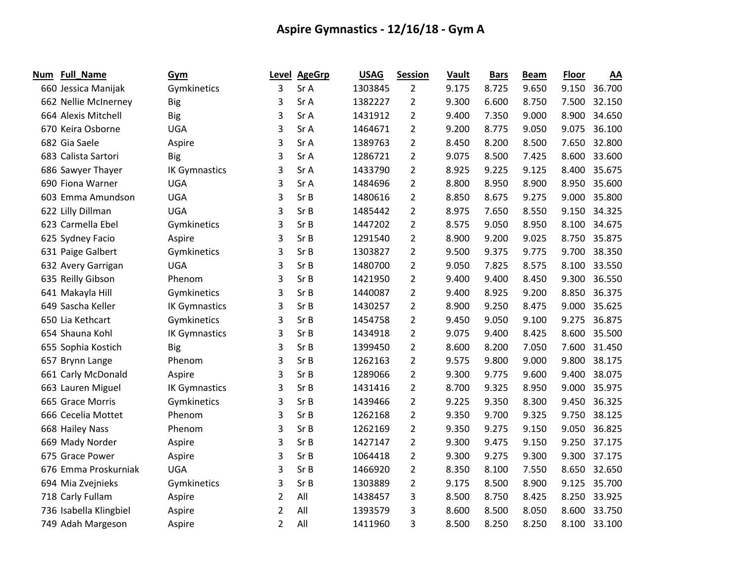| Num | <b>Full_Name</b>       | Gym                  | Level          | <b>AgeGrp</b> | <b>USAG</b> | <b>Session</b> | Vault | <b>Bars</b> | <b>Beam</b> | <b>Floor</b> | <u>AA</u> |
|-----|------------------------|----------------------|----------------|---------------|-------------|----------------|-------|-------------|-------------|--------------|-----------|
|     | 660 Jessica Manijak    | Gymkinetics          | 3              | Sr A          | 1303845     | $\overline{2}$ | 9.175 | 8.725       | 9.650       | 9.150        | 36.700    |
|     | 662 Nellie McInerney   | <b>Big</b>           | 3              | Sr A          | 1382227     | $\overline{2}$ | 9.300 | 6.600       | 8.750       | 7.500        | 32.150    |
|     | 664 Alexis Mitchell    | <b>Big</b>           | 3              | Sr A          | 1431912     | $\overline{2}$ | 9.400 | 7.350       | 9.000       | 8.900        | 34.650    |
|     | 670 Keira Osborne      | <b>UGA</b>           | 3              | Sr A          | 1464671     | $\overline{2}$ | 9.200 | 8.775       | 9.050       | 9.075        | 36.100    |
|     | 682 Gia Saele          | Aspire               | 3              | Sr A          | 1389763     | $\overline{2}$ | 8.450 | 8.200       | 8.500       | 7.650        | 32.800    |
|     | 683 Calista Sartori    | <b>Big</b>           | 3              | Sr A          | 1286721     | $\overline{2}$ | 9.075 | 8.500       | 7.425       | 8.600        | 33.600    |
|     | 686 Sawyer Thayer      | <b>IK Gymnastics</b> | 3              | Sr A          | 1433790     | $\overline{2}$ | 8.925 | 9.225       | 9.125       | 8.400        | 35.675    |
|     | 690 Fiona Warner       | <b>UGA</b>           | 3              | Sr A          | 1484696     | $\overline{2}$ | 8.800 | 8.950       | 8.900       | 8.950        | 35.600    |
|     | 603 Emma Amundson      | <b>UGA</b>           | 3              | Sr B          | 1480616     | $\overline{2}$ | 8.850 | 8.675       | 9.275       | 9.000        | 35.800    |
|     | 622 Lilly Dillman      | <b>UGA</b>           | 3              | Sr B          | 1485442     | $\overline{2}$ | 8.975 | 7.650       | 8.550       | 9.150        | 34.325    |
|     | 623 Carmella Ebel      | Gymkinetics          | 3              | SrB           | 1447202     | $\overline{2}$ | 8.575 | 9.050       | 8.950       | 8.100        | 34.675    |
|     | 625 Sydney Facio       | Aspire               | 3              | Sr B          | 1291540     | $\overline{2}$ | 8.900 | 9.200       | 9.025       | 8.750        | 35.875    |
|     | 631 Paige Galbert      | Gymkinetics          | 3              | Sr B          | 1303827     | $\overline{2}$ | 9.500 | 9.375       | 9.775       | 9.700        | 38.350    |
|     | 632 Avery Garrigan     | <b>UGA</b>           | 3              | Sr B          | 1480700     | $\overline{2}$ | 9.050 | 7.825       | 8.575       | 8.100        | 33.550    |
|     | 635 Reilly Gibson      | Phenom               | 3              | Sr B          | 1421950     | $\overline{2}$ | 9.400 | 9.400       | 8.450       | 9.300        | 36.550    |
|     | 641 Makayla Hill       | Gymkinetics          | 3              | Sr B          | 1440087     | $\overline{2}$ | 9.400 | 8.925       | 9.200       | 8.850        | 36.375    |
|     | 649 Sascha Keller      | <b>IK Gymnastics</b> | 3              | Sr B          | 1430257     | $\overline{2}$ | 8.900 | 9.250       | 8.475       | 9.000        | 35.625    |
|     | 650 Lia Kethcart       | Gymkinetics          | 3              | Sr B          | 1454758     | $\overline{2}$ | 9.450 | 9.050       | 9.100       | 9.275        | 36.875    |
|     | 654 Shauna Kohl        | <b>IK Gymnastics</b> | 3              | Sr B          | 1434918     | $\overline{2}$ | 9.075 | 9.400       | 8.425       | 8.600        | 35.500    |
|     | 655 Sophia Kostich     | <b>Big</b>           | 3              | Sr B          | 1399450     | $\overline{2}$ | 8.600 | 8.200       | 7.050       | 7.600        | 31.450    |
|     | 657 Brynn Lange        | Phenom               | 3              | Sr B          | 1262163     | $\overline{2}$ | 9.575 | 9.800       | 9.000       | 9.800        | 38.175    |
|     | 661 Carly McDonald     | Aspire               | 3              | Sr B          | 1289066     | $\overline{2}$ | 9.300 | 9.775       | 9.600       | 9.400        | 38.075    |
|     | 663 Lauren Miguel      | <b>IK Gymnastics</b> | 3              | Sr B          | 1431416     | $\overline{2}$ | 8.700 | 9.325       | 8.950       | 9.000        | 35.975    |
|     | 665 Grace Morris       | Gymkinetics          | 3              | Sr B          | 1439466     | $\overline{2}$ | 9.225 | 9.350       | 8.300       | 9.450        | 36.325    |
|     | 666 Cecelia Mottet     | Phenom               | 3              | Sr B          | 1262168     | $\overline{2}$ | 9.350 | 9.700       | 9.325       | 9.750        | 38.125    |
|     | 668 Hailey Nass        | Phenom               | 3              | Sr B          | 1262169     | $\overline{2}$ | 9.350 | 9.275       | 9.150       | 9.050        | 36.825    |
|     | 669 Mady Norder        | Aspire               | 3              | Sr B          | 1427147     | $\overline{2}$ | 9.300 | 9.475       | 9.150       | 9.250        | 37.175    |
|     | 675 Grace Power        | Aspire               | 3              | Sr B          | 1064418     | $\overline{2}$ | 9.300 | 9.275       | 9.300       | 9.300        | 37.175    |
|     | 676 Emma Proskurniak   | <b>UGA</b>           | 3              | Sr B          | 1466920     | $\overline{2}$ | 8.350 | 8.100       | 7.550       | 8.650        | 32.650    |
|     | 694 Mia Zvejnieks      | Gymkinetics          | 3              | Sr B          | 1303889     | $\overline{2}$ | 9.175 | 8.500       | 8.900       | 9.125        | 35.700    |
|     | 718 Carly Fullam       | Aspire               | 2              | All           | 1438457     | 3              | 8.500 | 8.750       | 8.425       | 8.250        | 33.925    |
|     | 736 Isabella Klingbiel | Aspire               | 2              | All           | 1393579     | 3              | 8.600 | 8.500       | 8.050       | 8.600        | 33.750    |
|     | 749 Adah Margeson      | Aspire               | $\overline{2}$ | All           | 1411960     | 3              | 8.500 | 8.250       | 8.250       | 8.100        | 33.100    |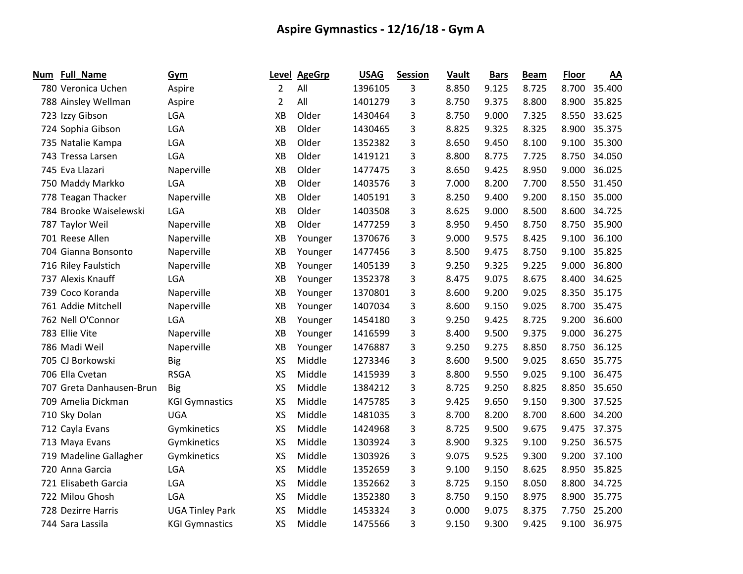| Num | <b>Full_Name</b>         | Gym                    | Level     | <b>AgeGrp</b> | <b>USAG</b> | <b>Session</b> | Vault | <b>Bars</b> | <b>Beam</b> | <b>Floor</b> | AA     |
|-----|--------------------------|------------------------|-----------|---------------|-------------|----------------|-------|-------------|-------------|--------------|--------|
|     | 780 Veronica Uchen       | Aspire                 | 2         | All           | 1396105     | 3              | 8.850 | 9.125       | 8.725       | 8.700        | 35.400 |
|     | 788 Ainsley Wellman      | Aspire                 | 2         | All           | 1401279     | 3              | 8.750 | 9.375       | 8.800       | 8.900        | 35.825 |
|     | 723 Izzy Gibson          | LGA                    | XB        | Older         | 1430464     | 3              | 8.750 | 9.000       | 7.325       | 8.550        | 33.625 |
|     | 724 Sophia Gibson        | LGA                    | XB        | Older         | 1430465     | 3              | 8.825 | 9.325       | 8.325       | 8.900        | 35.375 |
|     | 735 Natalie Kampa        | LGA                    | XB        | Older         | 1352382     | 3              | 8.650 | 9.450       | 8.100       | 9.100        | 35.300 |
|     | 743 Tressa Larsen        | LGA                    | XB        | Older         | 1419121     | 3              | 8.800 | 8.775       | 7.725       | 8.750        | 34.050 |
|     | 745 Eva Llazari          | Naperville             | XB        | Older         | 1477475     | 3              | 8.650 | 9.425       | 8.950       | 9.000        | 36.025 |
|     | 750 Maddy Markko         | <b>LGA</b>             | XB        | Older         | 1403576     | 3              | 7.000 | 8.200       | 7.700       | 8.550        | 31.450 |
|     | 778 Teagan Thacker       | Naperville             | XB        | Older         | 1405191     | 3              | 8.250 | 9.400       | 9.200       | 8.150        | 35.000 |
|     | 784 Brooke Waiselewski   | LGA                    | XB        | Older         | 1403508     | 3              | 8.625 | 9.000       | 8.500       | 8.600        | 34.725 |
|     | 787 Taylor Weil          | Naperville             | XВ        | Older         | 1477259     | 3              | 8.950 | 9.450       | 8.750       | 8.750        | 35.900 |
|     | 701 Reese Allen          | Naperville             | XB        | Younger       | 1370676     | 3              | 9.000 | 9.575       | 8.425       | 9.100        | 36.100 |
|     | 704 Gianna Bonsonto      | Naperville             | XB        | Younger       | 1477456     | 3              | 8.500 | 9.475       | 8.750       | 9.100        | 35.825 |
|     | 716 Riley Faulstich      | Naperville             | XB        | Younger       | 1405139     | 3              | 9.250 | 9.325       | 9.225       | 9.000        | 36.800 |
|     | 737 Alexis Knauff        | LGA                    | XB        | Younger       | 1352378     | 3              | 8.475 | 9.075       | 8.675       | 8.400        | 34.625 |
|     | 739 Coco Koranda         | Naperville             | XB        | Younger       | 1370801     | 3              | 8.600 | 9.200       | 9.025       | 8.350        | 35.175 |
|     | 761 Addie Mitchell       | Naperville             | XB        | Younger       | 1407034     | 3              | 8.600 | 9.150       | 9.025       | 8.700        | 35.475 |
|     | 762 Nell O'Connor        | LGA                    | XB        | Younger       | 1454180     | 3              | 9.250 | 9.425       | 8.725       | 9.200        | 36.600 |
|     | 783 Ellie Vite           | Naperville             | XB        | Younger       | 1416599     | 3              | 8.400 | 9.500       | 9.375       | 9.000        | 36.275 |
|     | 786 Madi Weil            | Naperville             | XB        | Younger       | 1476887     | 3              | 9.250 | 9.275       | 8.850       | 8.750        | 36.125 |
|     | 705 CJ Borkowski         | <b>Big</b>             | <b>XS</b> | Middle        | 1273346     | 3              | 8.600 | 9.500       | 9.025       | 8.650        | 35.775 |
|     | 706 Ella Cvetan          | <b>RSGA</b>            | <b>XS</b> | Middle        | 1415939     | 3              | 8.800 | 9.550       | 9.025       | 9.100        | 36.475 |
|     | 707 Greta Danhausen-Brun | <b>Big</b>             | <b>XS</b> | Middle        | 1384212     | 3              | 8.725 | 9.250       | 8.825       | 8.850        | 35.650 |
|     | 709 Amelia Dickman       | <b>KGI Gymnastics</b>  | <b>XS</b> | Middle        | 1475785     | 3              | 9.425 | 9.650       | 9.150       | 9.300        | 37.525 |
|     | 710 Sky Dolan            | <b>UGA</b>             | <b>XS</b> | Middle        | 1481035     | 3              | 8.700 | 8.200       | 8.700       | 8.600        | 34.200 |
|     | 712 Cayla Evans          | Gymkinetics            | <b>XS</b> | Middle        | 1424968     | 3              | 8.725 | 9.500       | 9.675       | 9.475        | 37.375 |
|     | 713 Maya Evans           | Gymkinetics            | <b>XS</b> | Middle        | 1303924     | 3              | 8.900 | 9.325       | 9.100       | 9.250        | 36.575 |
|     | 719 Madeline Gallagher   | Gymkinetics            | <b>XS</b> | Middle        | 1303926     | 3              | 9.075 | 9.525       | 9.300       | 9.200        | 37.100 |
|     | 720 Anna Garcia          | LGA                    | <b>XS</b> | Middle        | 1352659     | 3              | 9.100 | 9.150       | 8.625       | 8.950        | 35.825 |
|     | 721 Elisabeth Garcia     | LGA                    | <b>XS</b> | Middle        | 1352662     | 3              | 8.725 | 9.150       | 8.050       | 8.800        | 34.725 |
|     | 722 Milou Ghosh          | LGA                    | <b>XS</b> | Middle        | 1352380     | 3              | 8.750 | 9.150       | 8.975       | 8.900        | 35.775 |
|     | 728 Dezirre Harris       | <b>UGA Tinley Park</b> | <b>XS</b> | Middle        | 1453324     | 3              | 0.000 | 9.075       | 8.375       | 7.750        | 25.200 |
|     | 744 Sara Lassila         | <b>KGI Gymnastics</b>  | <b>XS</b> | Middle        | 1475566     | 3              | 9.150 | 9.300       | 9.425       | 9.100        | 36.975 |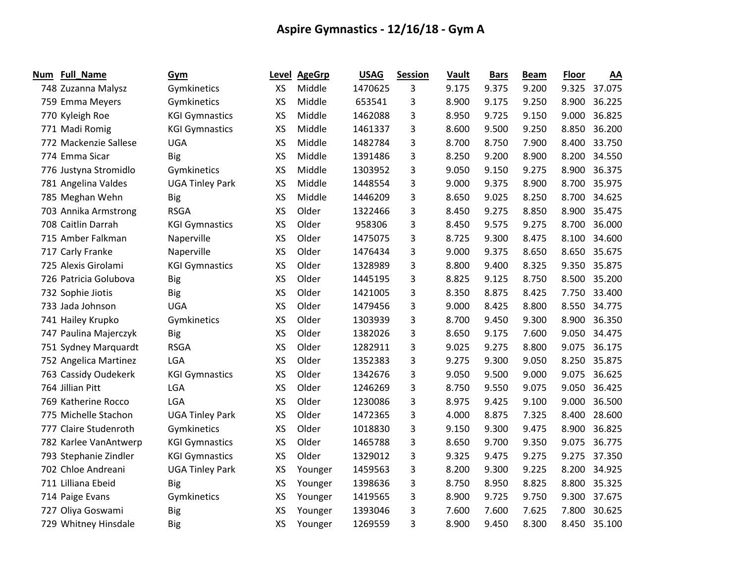| <b>Num</b> | <b>Full_Name</b>      | Gym                    | Level     | <b>AgeGrp</b> | <b>USAG</b> | <b>Session</b> | Vault | <b>Bars</b> | <b>Beam</b> | Floor | AA     |
|------------|-----------------------|------------------------|-----------|---------------|-------------|----------------|-------|-------------|-------------|-------|--------|
|            | 748 Zuzanna Malysz    | Gymkinetics            | XS        | Middle        | 1470625     | 3              | 9.175 | 9.375       | 9.200       | 9.325 | 37.075 |
|            | 759 Emma Meyers       | Gymkinetics            | XS        | Middle        | 653541      | 3              | 8.900 | 9.175       | 9.250       | 8.900 | 36.225 |
|            | 770 Kyleigh Roe       | <b>KGI Gymnastics</b>  | XS        | Middle        | 1462088     | 3              | 8.950 | 9.725       | 9.150       | 9.000 | 36.825 |
|            | 771 Madi Romig        | <b>KGI Gymnastics</b>  | XS        | Middle        | 1461337     | 3              | 8.600 | 9.500       | 9.250       | 8.850 | 36.200 |
|            | 772 Mackenzie Sallese | <b>UGA</b>             | XS        | Middle        | 1482784     | 3              | 8.700 | 8.750       | 7.900       | 8.400 | 33.750 |
|            | 774 Emma Sicar        | <b>Big</b>             | XS        | Middle        | 1391486     | 3              | 8.250 | 9.200       | 8.900       | 8.200 | 34.550 |
|            | 776 Justyna Stromidlo | Gymkinetics            | XS        | Middle        | 1303952     | 3              | 9.050 | 9.150       | 9.275       | 8.900 | 36.375 |
|            | 781 Angelina Valdes   | <b>UGA Tinley Park</b> | XS        | Middle        | 1448554     | 3              | 9.000 | 9.375       | 8.900       | 8.700 | 35.975 |
|            | 785 Meghan Wehn       | <b>Big</b>             | XS        | Middle        | 1446209     | 3              | 8.650 | 9.025       | 8.250       | 8.700 | 34.625 |
|            | 703 Annika Armstrong  | <b>RSGA</b>            | XS        | Older         | 1322466     | 3              | 8.450 | 9.275       | 8.850       | 8.900 | 35.475 |
|            | 708 Caitlin Darrah    | <b>KGI Gymnastics</b>  | XS        | Older         | 958306      | 3              | 8.450 | 9.575       | 9.275       | 8.700 | 36.000 |
|            | 715 Amber Falkman     | Naperville             | XS        | Older         | 1475075     | 3              | 8.725 | 9.300       | 8.475       | 8.100 | 34.600 |
|            | 717 Carly Franke      | Naperville             | <b>XS</b> | Older         | 1476434     | 3              | 9.000 | 9.375       | 8.650       | 8.650 | 35.675 |
|            | 725 Alexis Girolami   | <b>KGI Gymnastics</b>  | XS        | Older         | 1328989     | 3              | 8.800 | 9.400       | 8.325       | 9.350 | 35.875 |
|            | 726 Patricia Golubova | <b>Big</b>             | XS        | Older         | 1445195     | 3              | 8.825 | 9.125       | 8.750       | 8.500 | 35.200 |
|            | 732 Sophie Jiotis     | <b>Big</b>             | XS        | Older         | 1421005     | 3              | 8.350 | 8.875       | 8.425       | 7.750 | 33.400 |
|            | 733 Jada Johnson      | <b>UGA</b>             | XS        | Older         | 1479456     | 3              | 9.000 | 8.425       | 8.800       | 8.550 | 34.775 |
|            | 741 Hailey Krupko     | Gymkinetics            | XS        | Older         | 1303939     | 3              | 8.700 | 9.450       | 9.300       | 8.900 | 36.350 |
|            | 747 Paulina Majerczyk | <b>Big</b>             | XS        | Older         | 1382026     | 3              | 8.650 | 9.175       | 7.600       | 9.050 | 34.475 |
|            | 751 Sydney Marquardt  | <b>RSGA</b>            | XS        | Older         | 1282911     | 3              | 9.025 | 9.275       | 8.800       | 9.075 | 36.175 |
|            | 752 Angelica Martinez | LGA                    | XS        | Older         | 1352383     | 3              | 9.275 | 9.300       | 9.050       | 8.250 | 35.875 |
|            | 763 Cassidy Oudekerk  | <b>KGI Gymnastics</b>  | XS        | Older         | 1342676     | 3              | 9.050 | 9.500       | 9.000       | 9.075 | 36.625 |
|            | 764 Jillian Pitt      | LGA                    | <b>XS</b> | Older         | 1246269     | 3              | 8.750 | 9.550       | 9.075       | 9.050 | 36.425 |
|            | 769 Katherine Rocco   | LGA                    | XS        | Older         | 1230086     | 3              | 8.975 | 9.425       | 9.100       | 9.000 | 36.500 |
|            | 775 Michelle Stachon  | <b>UGA Tinley Park</b> | XS        | Older         | 1472365     | 3              | 4.000 | 8.875       | 7.325       | 8.400 | 28.600 |
|            | 777 Claire Studenroth | Gymkinetics            | XS        | Older         | 1018830     | 3              | 9.150 | 9.300       | 9.475       | 8.900 | 36.825 |
|            | 782 Karlee VanAntwerp | <b>KGI Gymnastics</b>  | <b>XS</b> | Older         | 1465788     | 3              | 8.650 | 9.700       | 9.350       | 9.075 | 36.775 |
|            | 793 Stephanie Zindler | <b>KGI Gymnastics</b>  | XS        | Older         | 1329012     | 3              | 9.325 | 9.475       | 9.275       | 9.275 | 37.350 |
|            | 702 Chloe Andreani    | <b>UGA Tinley Park</b> | XS        | Younger       | 1459563     | 3              | 8.200 | 9.300       | 9.225       | 8.200 | 34.925 |
|            | 711 Lilliana Ebeid    | <b>Big</b>             | XS        | Younger       | 1398636     | 3              | 8.750 | 8.950       | 8.825       | 8.800 | 35.325 |
|            | 714 Paige Evans       | Gymkinetics            | XS        | Younger       | 1419565     | 3              | 8.900 | 9.725       | 9.750       | 9.300 | 37.675 |
|            | 727 Oliya Goswami     | <b>Big</b>             | XS        | Younger       | 1393046     | 3              | 7.600 | 7.600       | 7.625       | 7.800 | 30.625 |
|            | 729 Whitney Hinsdale  | Big                    | XS        | Younger       | 1269559     | 3              | 8.900 | 9.450       | 8.300       | 8.450 | 35.100 |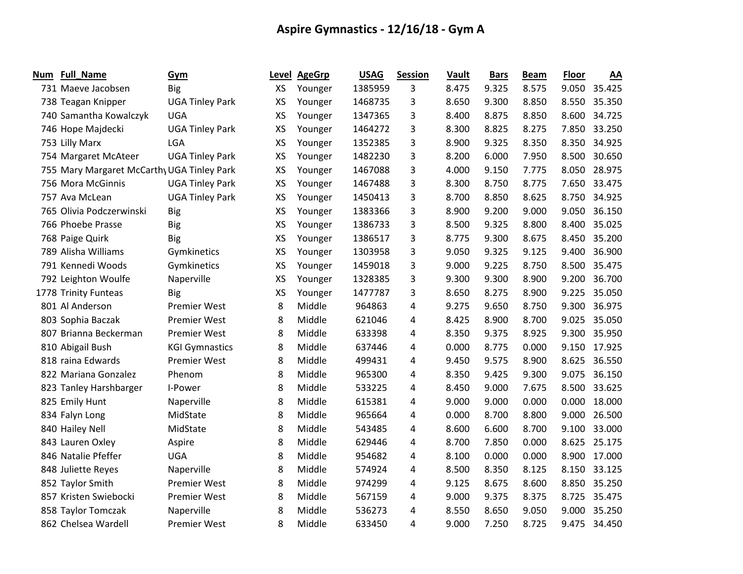| Num | <b>Full_Name</b>                          | Gym                    | Level     | <b>AgeGrp</b> | <b>USAG</b> | <b>Session</b> | Vault | <b>Bars</b> | <b>Beam</b> | <b>Floor</b> | AA     |
|-----|-------------------------------------------|------------------------|-----------|---------------|-------------|----------------|-------|-------------|-------------|--------------|--------|
|     | 731 Maeve Jacobsen                        | <b>Big</b>             | XS        | Younger       | 1385959     | 3.             | 8.475 | 9.325       | 8.575       | 9.050        | 35.425 |
|     | 738 Teagan Knipper                        | <b>UGA Tinley Park</b> | XS        | Younger       | 1468735     | 3              | 8.650 | 9.300       | 8.850       | 8.550        | 35.350 |
|     | 740 Samantha Kowalczyk                    | <b>UGA</b>             | XS        | Younger       | 1347365     | 3              | 8.400 | 8.875       | 8.850       | 8.600        | 34.725 |
|     | 746 Hope Majdecki                         | <b>UGA Tinley Park</b> | XS        | Younger       | 1464272     | 3              | 8.300 | 8.825       | 8.275       | 7.850        | 33.250 |
|     | 753 Lilly Marx                            | LGA                    | <b>XS</b> | Younger       | 1352385     | 3              | 8.900 | 9.325       | 8.350       | 8.350        | 34.925 |
|     | 754 Margaret McAteer                      | <b>UGA Tinley Park</b> | XS        | Younger       | 1482230     | 3              | 8.200 | 6.000       | 7.950       | 8.500        | 30.650 |
|     | 755 Mary Margaret McCarth UGA Tinley Park |                        | XS        | Younger       | 1467088     | 3              | 4.000 | 9.150       | 7.775       | 8.050        | 28.975 |
|     | 756 Mora McGinnis                         | <b>UGA Tinley Park</b> | XS        | Younger       | 1467488     | 3              | 8.300 | 8.750       | 8.775       | 7.650        | 33.475 |
|     | 757 Ava McLean                            | <b>UGA Tinley Park</b> | <b>XS</b> | Younger       | 1450413     | 3              | 8.700 | 8.850       | 8.625       | 8.750        | 34.925 |
|     | 765 Olivia Podczerwinski                  | <b>Big</b>             | <b>XS</b> | Younger       | 1383366     | 3              | 8.900 | 9.200       | 9.000       | 9.050        | 36.150 |
|     | 766 Phoebe Prasse                         | <b>Big</b>             | XS        | Younger       | 1386733     | 3              | 8.500 | 9.325       | 8.800       | 8.400        | 35.025 |
|     | 768 Paige Quirk                           | <b>Big</b>             | <b>XS</b> | Younger       | 1386517     | 3              | 8.775 | 9.300       | 8.675       | 8.450        | 35.200 |
|     | 789 Alisha Williams                       | Gymkinetics            | XS        | Younger       | 1303958     | 3              | 9.050 | 9.325       | 9.125       | 9.400        | 36.900 |
|     | 791 Kennedi Woods                         | Gymkinetics            | <b>XS</b> | Younger       | 1459018     | 3              | 9.000 | 9.225       | 8.750       | 8.500        | 35.475 |
|     | 792 Leighton Woulfe                       | Naperville             | <b>XS</b> | Younger       | 1328385     | 3              | 9.300 | 9.300       | 8.900       | 9.200        | 36.700 |
|     | 1778 Trinity Funteas                      | <b>Big</b>             | XS        | Younger       | 1477787     | 3              | 8.650 | 8.275       | 8.900       | 9.225        | 35.050 |
|     | 801 Al Anderson                           | Premier West           | 8         | Middle        | 964863      | 4              | 9.275 | 9.650       | 8.750       | 9.300        | 36.975 |
|     | 803 Sophia Baczak                         | <b>Premier West</b>    | 8         | Middle        | 621046      | 4              | 8.425 | 8.900       | 8.700       | 9.025        | 35.050 |
|     | 807 Brianna Beckerman                     | <b>Premier West</b>    | 8         | Middle        | 633398      | 4              | 8.350 | 9.375       | 8.925       | 9.300        | 35.950 |
|     | 810 Abigail Bush                          | <b>KGI Gymnastics</b>  | 8         | Middle        | 637446      | 4              | 0.000 | 8.775       | 0.000       | 9.150        | 17.925 |
|     | 818 raina Edwards                         | <b>Premier West</b>    | 8         | Middle        | 499431      | 4              | 9.450 | 9.575       | 8.900       | 8.625        | 36.550 |
|     | 822 Mariana Gonzalez                      | Phenom                 | 8         | Middle        | 965300      | 4              | 8.350 | 9.425       | 9.300       | 9.075        | 36.150 |
|     | 823 Tanley Harshbarger                    | I-Power                | 8         | Middle        | 533225      | 4              | 8.450 | 9.000       | 7.675       | 8.500        | 33.625 |
|     | 825 Emily Hunt                            | Naperville             | 8         | Middle        | 615381      | 4              | 9.000 | 9.000       | 0.000       | 0.000        | 18.000 |
|     | 834 Falyn Long                            | MidState               | 8         | Middle        | 965664      | 4              | 0.000 | 8.700       | 8.800       | 9.000        | 26.500 |
|     | 840 Hailey Nell                           | MidState               | 8         | Middle        | 543485      | 4              | 8.600 | 6.600       | 8.700       | 9.100        | 33.000 |
|     | 843 Lauren Oxley                          | Aspire                 | 8         | Middle        | 629446      | 4              | 8.700 | 7.850       | 0.000       | 8.625        | 25.175 |
|     | 846 Natalie Pfeffer                       | <b>UGA</b>             | 8         | Middle        | 954682      | 4              | 8.100 | 0.000       | 0.000       | 8.900        | 17.000 |
|     | 848 Juliette Reyes                        | Naperville             | 8         | Middle        | 574924      | 4              | 8.500 | 8.350       | 8.125       | 8.150        | 33.125 |
|     | 852 Taylor Smith                          | <b>Premier West</b>    | 8         | Middle        | 974299      | 4              | 9.125 | 8.675       | 8.600       | 8.850        | 35.250 |
|     | 857 Kristen Swiebocki                     | <b>Premier West</b>    | 8         | Middle        | 567159      | 4              | 9.000 | 9.375       | 8.375       | 8.725        | 35.475 |
|     | 858 Taylor Tomczak                        | Naperville             | 8         | Middle        | 536273      | 4              | 8.550 | 8.650       | 9.050       | 9.000        | 35.250 |
|     | 862 Chelsea Wardell                       | <b>Premier West</b>    | 8         | Middle        | 633450      | 4              | 9.000 | 7.250       | 8.725       | 9.475        | 34.450 |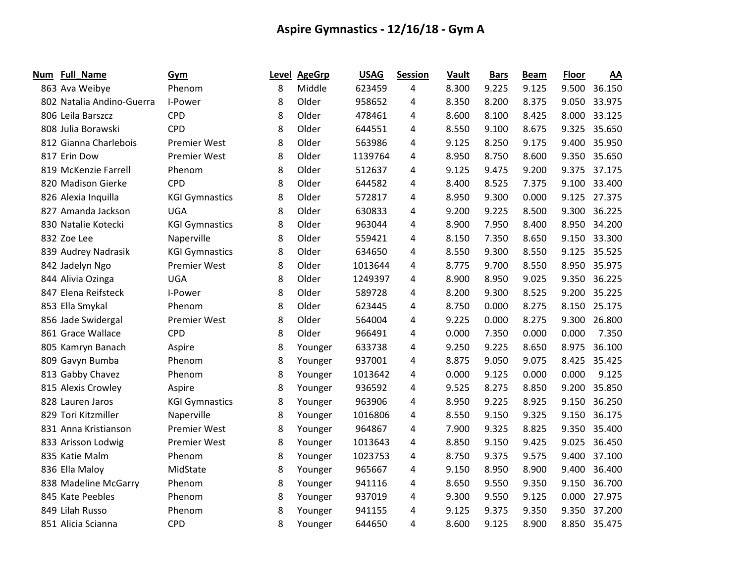| Num | Full_Name                 | Gym                   |   | Level AgeGrp | <b>USAG</b> | <b>Session</b> | Vault | <b>Bars</b> | <b>Beam</b> | <b>Floor</b> | AA     |
|-----|---------------------------|-----------------------|---|--------------|-------------|----------------|-------|-------------|-------------|--------------|--------|
|     | 863 Ava Weibye            | Phenom                | 8 | Middle       | 623459      | 4              | 8.300 | 9.225       | 9.125       | 9.500        | 36.150 |
|     | 802 Natalia Andino-Guerra | I-Power               | 8 | Older        | 958652      | 4              | 8.350 | 8.200       | 8.375       | 9.050        | 33.975 |
|     | 806 Leila Barszcz         | <b>CPD</b>            | 8 | Older        | 478461      | 4              | 8.600 | 8.100       | 8.425       | 8.000        | 33.125 |
|     | 808 Julia Borawski        | <b>CPD</b>            | 8 | Older        | 644551      | 4              | 8.550 | 9.100       | 8.675       | 9.325        | 35.650 |
|     | 812 Gianna Charlebois     | <b>Premier West</b>   | 8 | Older        | 563986      | 4              | 9.125 | 8.250       | 9.175       | 9.400        | 35.950 |
|     | 817 Erin Dow              | <b>Premier West</b>   | 8 | Older        | 1139764     | 4              | 8.950 | 8.750       | 8.600       | 9.350        | 35.650 |
|     | 819 McKenzie Farrell      | Phenom                | 8 | Older        | 512637      | 4              | 9.125 | 9.475       | 9.200       | 9.375        | 37.175 |
|     | 820 Madison Gierke        | <b>CPD</b>            | 8 | Older        | 644582      | 4              | 8.400 | 8.525       | 7.375       | 9.100        | 33.400 |
|     | 826 Alexia Inquilla       | <b>KGI Gymnastics</b> | 8 | Older        | 572817      | 4              | 8.950 | 9.300       | 0.000       | 9.125        | 27.375 |
|     | 827 Amanda Jackson        | <b>UGA</b>            | 8 | Older        | 630833      | 4              | 9.200 | 9.225       | 8.500       | 9.300        | 36.225 |
|     | 830 Natalie Kotecki       | <b>KGI Gymnastics</b> | 8 | Older        | 963044      | 4              | 8.900 | 7.950       | 8.400       | 8.950        | 34.200 |
|     | 832 Zoe Lee               | Naperville            | 8 | Older        | 559421      | 4              | 8.150 | 7.350       | 8.650       | 9.150        | 33.300 |
|     | 839 Audrey Nadrasik       | <b>KGI Gymnastics</b> | 8 | Older        | 634650      | 4              | 8.550 | 9.300       | 8.550       | 9.125        | 35.525 |
|     | 842 Jadelyn Ngo           | <b>Premier West</b>   | 8 | Older        | 1013644     | 4              | 8.775 | 9.700       | 8.550       | 8.950        | 35.975 |
|     | 844 Alivia Ozinga         | <b>UGA</b>            | 8 | Older        | 1249397     | 4              | 8.900 | 8.950       | 9.025       | 9.350        | 36.225 |
|     | 847 Elena Reifsteck       | I-Power               | 8 | Older        | 589728      | 4              | 8.200 | 9.300       | 8.525       | 9.200        | 35.225 |
|     | 853 Ella Smykal           | Phenom                | 8 | Older        | 623445      | 4              | 8.750 | 0.000       | 8.275       | 8.150        | 25.175 |
|     | 856 Jade Swidergal        | <b>Premier West</b>   | 8 | Older        | 564004      | 4              | 9.225 | 0.000       | 8.275       | 9.300        | 26.800 |
|     | 861 Grace Wallace         | <b>CPD</b>            | 8 | Older        | 966491      | 4              | 0.000 | 7.350       | 0.000       | 0.000        | 7.350  |
|     | 805 Kamryn Banach         | Aspire                | 8 | Younger      | 633738      | 4              | 9.250 | 9.225       | 8.650       | 8.975        | 36.100 |
|     | 809 Gavyn Bumba           | Phenom                | 8 | Younger      | 937001      | 4              | 8.875 | 9.050       | 9.075       | 8.425        | 35.425 |
|     | 813 Gabby Chavez          | Phenom                | 8 | Younger      | 1013642     | 4              | 0.000 | 9.125       | 0.000       | 0.000        | 9.125  |
|     | 815 Alexis Crowley        | Aspire                | 8 | Younger      | 936592      | 4              | 9.525 | 8.275       | 8.850       | 9.200        | 35.850 |
|     | 828 Lauren Jaros          | <b>KGI Gymnastics</b> | 8 | Younger      | 963906      | 4              | 8.950 | 9.225       | 8.925       | 9.150        | 36.250 |
|     | 829 Tori Kitzmiller       | Naperville            | 8 | Younger      | 1016806     | 4              | 8.550 | 9.150       | 9.325       | 9.150        | 36.175 |
|     | 831 Anna Kristianson      | <b>Premier West</b>   | 8 | Younger      | 964867      | 4              | 7.900 | 9.325       | 8.825       | 9.350        | 35.400 |
|     | 833 Arisson Lodwig        | <b>Premier West</b>   | 8 | Younger      | 1013643     | 4              | 8.850 | 9.150       | 9.425       | 9.025        | 36.450 |
|     | 835 Katie Malm            | Phenom                | 8 | Younger      | 1023753     | 4              | 8.750 | 9.375       | 9.575       | 9.400        | 37.100 |
|     | 836 Ella Maloy            | MidState              | 8 | Younger      | 965667      | 4              | 9.150 | 8.950       | 8.900       | 9.400        | 36.400 |
|     | 838 Madeline McGarry      | Phenom                | 8 | Younger      | 941116      | 4              | 8.650 | 9.550       | 9.350       | 9.150        | 36.700 |
|     | 845 Kate Peebles          | Phenom                | 8 | Younger      | 937019      | 4              | 9.300 | 9.550       | 9.125       | 0.000        | 27.975 |
|     | 849 Lilah Russo           | Phenom                | 8 | Younger      | 941155      | 4              | 9.125 | 9.375       | 9.350       | 9.350        | 37.200 |
|     | 851 Alicia Scianna        | <b>CPD</b>            | 8 | Younger      | 644650      | 4              | 8.600 | 9.125       | 8.900       | 8.850        | 35.475 |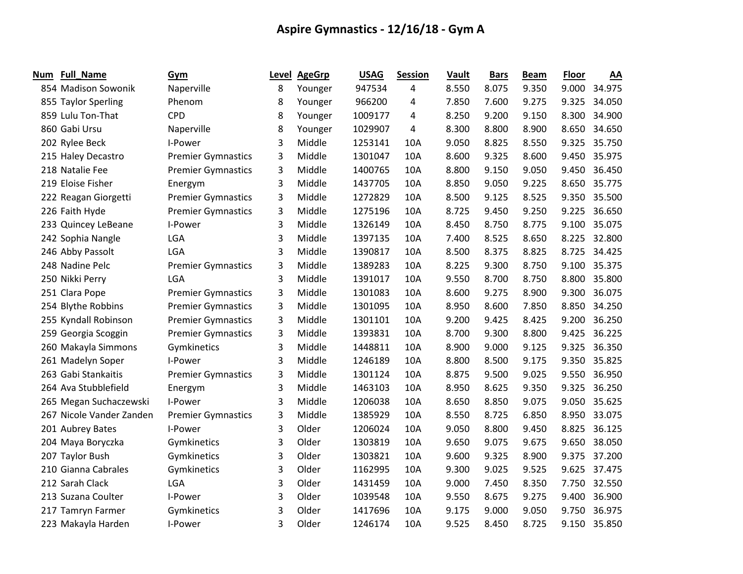| Num | <b>Full_Name</b>         | Gym                       | Level | <b>AgeGrp</b> | <b>USAG</b> | <b>Session</b> | Vault | <b>Bars</b> | <b>Beam</b> | <b>Floor</b> | AA     |
|-----|--------------------------|---------------------------|-------|---------------|-------------|----------------|-------|-------------|-------------|--------------|--------|
|     | 854 Madison Sowonik      | Naperville                | 8     | Younger       | 947534      | 4              | 8.550 | 8.075       | 9.350       | 9.000        | 34.975 |
|     | 855 Taylor Sperling      | Phenom                    | 8     | Younger       | 966200      | 4              | 7.850 | 7.600       | 9.275       | 9.325        | 34.050 |
|     | 859 Lulu Ton-That        | <b>CPD</b>                | 8     | Younger       | 1009177     | 4              | 8.250 | 9.200       | 9.150       | 8.300        | 34.900 |
|     | 860 Gabi Ursu            | Naperville                | 8     | Younger       | 1029907     | 4              | 8.300 | 8.800       | 8.900       | 8.650        | 34.650 |
|     | 202 Rylee Beck           | I-Power                   | 3     | Middle        | 1253141     | 10A            | 9.050 | 8.825       | 8.550       | 9.325        | 35.750 |
|     | 215 Haley Decastro       | <b>Premier Gymnastics</b> | 3     | Middle        | 1301047     | 10A            | 8.600 | 9.325       | 8.600       | 9.450        | 35.975 |
|     | 218 Natalie Fee          | <b>Premier Gymnastics</b> | 3     | Middle        | 1400765     | 10A            | 8.800 | 9.150       | 9.050       | 9.450        | 36.450 |
|     | 219 Eloise Fisher        | Energym                   | 3     | Middle        | 1437705     | 10A            | 8.850 | 9.050       | 9.225       | 8.650        | 35.775 |
|     | 222 Reagan Giorgetti     | <b>Premier Gymnastics</b> | 3     | Middle        | 1272829     | 10A            | 8.500 | 9.125       | 8.525       | 9.350        | 35.500 |
|     | 226 Faith Hyde           | <b>Premier Gymnastics</b> | 3     | Middle        | 1275196     | 10A            | 8.725 | 9.450       | 9.250       | 9.225        | 36.650 |
|     | 233 Quincey LeBeane      | I-Power                   | 3     | Middle        | 1326149     | 10A            | 8.450 | 8.750       | 8.775       | 9.100        | 35.075 |
|     | 242 Sophia Nangle        | LGA                       | 3     | Middle        | 1397135     | 10A            | 7.400 | 8.525       | 8.650       | 8.225        | 32.800 |
|     | 246 Abby Passolt         | LGA                       | 3     | Middle        | 1390817     | 10A            | 8.500 | 8.375       | 8.825       | 8.725        | 34.425 |
|     | 248 Nadine Pelc          | <b>Premier Gymnastics</b> | 3     | Middle        | 1389283     | 10A            | 8.225 | 9.300       | 8.750       | 9.100        | 35.375 |
|     | 250 Nikki Perry          | LGA                       | 3     | Middle        | 1391017     | 10A            | 9.550 | 8.700       | 8.750       | 8.800        | 35.800 |
|     | 251 Clara Pope           | <b>Premier Gymnastics</b> | 3     | Middle        | 1301083     | 10A            | 8.600 | 9.275       | 8.900       | 9.300        | 36.075 |
|     | 254 Blythe Robbins       | <b>Premier Gymnastics</b> | 3     | Middle        | 1301095     | 10A            | 8.950 | 8.600       | 7.850       | 8.850        | 34.250 |
|     | 255 Kyndall Robinson     | <b>Premier Gymnastics</b> | 3     | Middle        | 1301101     | 10A            | 9.200 | 9.425       | 8.425       | 9.200        | 36.250 |
|     | 259 Georgia Scoggin      | <b>Premier Gymnastics</b> | 3     | Middle        | 1393831     | 10A            | 8.700 | 9.300       | 8.800       | 9.425        | 36.225 |
|     | 260 Makayla Simmons      | Gymkinetics               | 3     | Middle        | 1448811     | 10A            | 8.900 | 9.000       | 9.125       | 9.325        | 36.350 |
|     | 261 Madelyn Soper        | I-Power                   | 3     | Middle        | 1246189     | 10A            | 8.800 | 8.500       | 9.175       | 9.350        | 35.825 |
|     | 263 Gabi Stankaitis      | <b>Premier Gymnastics</b> | 3     | Middle        | 1301124     | 10A            | 8.875 | 9.500       | 9.025       | 9.550        | 36.950 |
|     | 264 Ava Stubblefield     | Energym                   | 3     | Middle        | 1463103     | 10A            | 8.950 | 8.625       | 9.350       | 9.325        | 36.250 |
|     | 265 Megan Suchaczewski   | I-Power                   | 3     | Middle        | 1206038     | 10A            | 8.650 | 8.850       | 9.075       | 9.050        | 35.625 |
|     | 267 Nicole Vander Zanden | <b>Premier Gymnastics</b> | 3     | Middle        | 1385929     | 10A            | 8.550 | 8.725       | 6.850       | 8.950        | 33.075 |
|     | 201 Aubrey Bates         | I-Power                   | 3     | Older         | 1206024     | 10A            | 9.050 | 8.800       | 9.450       | 8.825        | 36.125 |
|     | 204 Maya Boryczka        | Gymkinetics               | 3     | Older         | 1303819     | 10A            | 9.650 | 9.075       | 9.675       | 9.650        | 38.050 |
|     | 207 Taylor Bush          | Gymkinetics               | 3     | Older         | 1303821     | 10A            | 9.600 | 9.325       | 8.900       | 9.375        | 37.200 |
|     | 210 Gianna Cabrales      | Gymkinetics               | 3     | Older         | 1162995     | 10A            | 9.300 | 9.025       | 9.525       | 9.625        | 37.475 |
|     | 212 Sarah Clack          | LGA                       | 3     | Older         | 1431459     | 10A            | 9.000 | 7.450       | 8.350       | 7.750        | 32.550 |
|     | 213 Suzana Coulter       | I-Power                   | 3     | Older         | 1039548     | 10A            | 9.550 | 8.675       | 9.275       | 9.400        | 36.900 |
|     | 217 Tamryn Farmer        | Gymkinetics               | 3     | Older         | 1417696     | 10A            | 9.175 | 9.000       | 9.050       | 9.750        | 36.975 |
|     | 223 Makayla Harden       | I-Power                   | 3     | Older         | 1246174     | 10A            | 9.525 | 8.450       | 8.725       | 9.150        | 35.850 |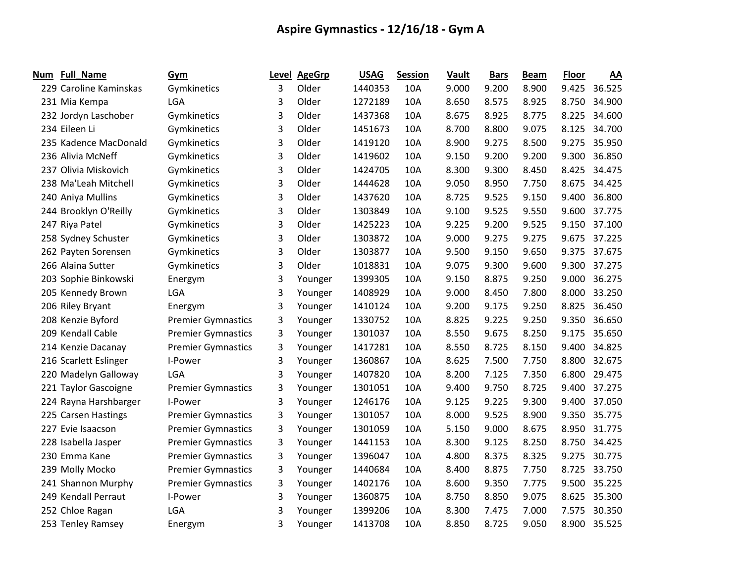| Num | <b>Full_Name</b>       | Gym                       |   | Level AgeGrp | <b>USAG</b> | <b>Session</b> | Vault | <b>Bars</b> | <b>Beam</b> | Floor | AA           |
|-----|------------------------|---------------------------|---|--------------|-------------|----------------|-------|-------------|-------------|-------|--------------|
|     | 229 Caroline Kaminskas | Gymkinetics               | 3 | Older        | 1440353     | 10A            | 9.000 | 9.200       | 8.900       | 9.425 | 36.525       |
|     | 231 Mia Kempa          | LGA                       | 3 | Older        | 1272189     | 10A            | 8.650 | 8.575       | 8.925       | 8.750 | 34.900       |
|     | 232 Jordyn Laschober   | Gymkinetics               | 3 | Older        | 1437368     | 10A            | 8.675 | 8.925       | 8.775       | 8.225 | 34.600       |
|     | 234 Eileen Li          | Gymkinetics               | 3 | Older        | 1451673     | 10A            | 8.700 | 8.800       | 9.075       | 8.125 | 34.700       |
|     | 235 Kadence MacDonald  | Gymkinetics               | 3 | Older        | 1419120     | 10A            | 8.900 | 9.275       | 8.500       | 9.275 | 35.950       |
|     | 236 Alivia McNeff      | Gymkinetics               | 3 | Older        | 1419602     | 10A            | 9.150 | 9.200       | 9.200       | 9.300 | 36.850       |
|     | 237 Olivia Miskovich   | Gymkinetics               | 3 | Older        | 1424705     | 10A            | 8.300 | 9.300       | 8.450       | 8.425 | 34.475       |
|     | 238 Ma'Leah Mitchell   | Gymkinetics               | 3 | Older        | 1444628     | 10A            | 9.050 | 8.950       | 7.750       | 8.675 | 34.425       |
|     | 240 Aniya Mullins      | Gymkinetics               | 3 | Older        | 1437620     | 10A            | 8.725 | 9.525       | 9.150       | 9.400 | 36.800       |
|     | 244 Brooklyn O'Reilly  | Gymkinetics               | 3 | Older        | 1303849     | 10A            | 9.100 | 9.525       | 9.550       | 9.600 | 37.775       |
|     | 247 Riya Patel         | Gymkinetics               | 3 | Older        | 1425223     | 10A            | 9.225 | 9.200       | 9.525       |       | 9.150 37.100 |
|     | 258 Sydney Schuster    | Gymkinetics               | 3 | Older        | 1303872     | 10A            | 9.000 | 9.275       | 9.275       | 9.675 | 37.225       |
|     | 262 Payten Sorensen    | Gymkinetics               | 3 | Older        | 1303877     | 10A            | 9.500 | 9.150       | 9.650       | 9.375 | 37.675       |
|     | 266 Alaina Sutter      | Gymkinetics               | 3 | Older        | 1018831     | 10A            | 9.075 | 9.300       | 9.600       | 9.300 | 37.275       |
|     | 203 Sophie Binkowski   | Energym                   | 3 | Younger      | 1399305     | 10A            | 9.150 | 8.875       | 9.250       | 9.000 | 36.275       |
|     | 205 Kennedy Brown      | LGA                       | 3 | Younger      | 1408929     | 10A            | 9.000 | 8.450       | 7.800       | 8.000 | 33.250       |
|     | 206 Riley Bryant       | Energym                   | 3 | Younger      | 1410124     | 10A            | 9.200 | 9.175       | 9.250       | 8.825 | 36.450       |
|     | 208 Kenzie Byford      | <b>Premier Gymnastics</b> | 3 | Younger      | 1330752     | 10A            | 8.825 | 9.225       | 9.250       | 9.350 | 36.650       |
|     | 209 Kendall Cable      | <b>Premier Gymnastics</b> | 3 | Younger      | 1301037     | 10A            | 8.550 | 9.675       | 8.250       | 9.175 | 35.650       |
|     | 214 Kenzie Dacanay     | <b>Premier Gymnastics</b> | 3 | Younger      | 1417281     | 10A            | 8.550 | 8.725       | 8.150       | 9.400 | 34.825       |
|     | 216 Scarlett Eslinger  | I-Power                   | 3 | Younger      | 1360867     | 10A            | 8.625 | 7.500       | 7.750       | 8.800 | 32.675       |
|     | 220 Madelyn Galloway   | LGA                       | 3 | Younger      | 1407820     | 10A            | 8.200 | 7.125       | 7.350       | 6.800 | 29.475       |
|     | 221 Taylor Gascoigne   | <b>Premier Gymnastics</b> | 3 | Younger      | 1301051     | 10A            | 9.400 | 9.750       | 8.725       | 9.400 | 37.275       |
|     | 224 Rayna Harshbarger  | I-Power                   | 3 | Younger      | 1246176     | 10A            | 9.125 | 9.225       | 9.300       | 9.400 | 37.050       |
|     | 225 Carsen Hastings    | <b>Premier Gymnastics</b> | 3 | Younger      | 1301057     | 10A            | 8.000 | 9.525       | 8.900       | 9.350 | 35.775       |
|     | 227 Evie Isaacson      | <b>Premier Gymnastics</b> | 3 | Younger      | 1301059     | 10A            | 5.150 | 9.000       | 8.675       | 8.950 | 31.775       |
|     | 228 Isabella Jasper    | <b>Premier Gymnastics</b> | 3 | Younger      | 1441153     | 10A            | 8.300 | 9.125       | 8.250       | 8.750 | 34.425       |
|     | 230 Emma Kane          | <b>Premier Gymnastics</b> | 3 | Younger      | 1396047     | 10A            | 4.800 | 8.375       | 8.325       | 9.275 | 30.775       |
|     | 239 Molly Mocko        | <b>Premier Gymnastics</b> | 3 | Younger      | 1440684     | 10A            | 8.400 | 8.875       | 7.750       | 8.725 | 33.750       |
|     | 241 Shannon Murphy     | <b>Premier Gymnastics</b> | 3 | Younger      | 1402176     | 10A            | 8.600 | 9.350       | 7.775       | 9.500 | 35.225       |
|     | 249 Kendall Perraut    | I-Power                   | 3 | Younger      | 1360875     | 10A            | 8.750 | 8.850       | 9.075       | 8.625 | 35.300       |
|     | 252 Chloe Ragan        | LGA                       | 3 | Younger      | 1399206     | 10A            | 8.300 | 7.475       | 7.000       | 7.575 | 30.350       |
|     | 253 Tenley Ramsey      | Energym                   | 3 | Younger      | 1413708     | 10A            | 8.850 | 8.725       | 9.050       | 8.900 | 35.525       |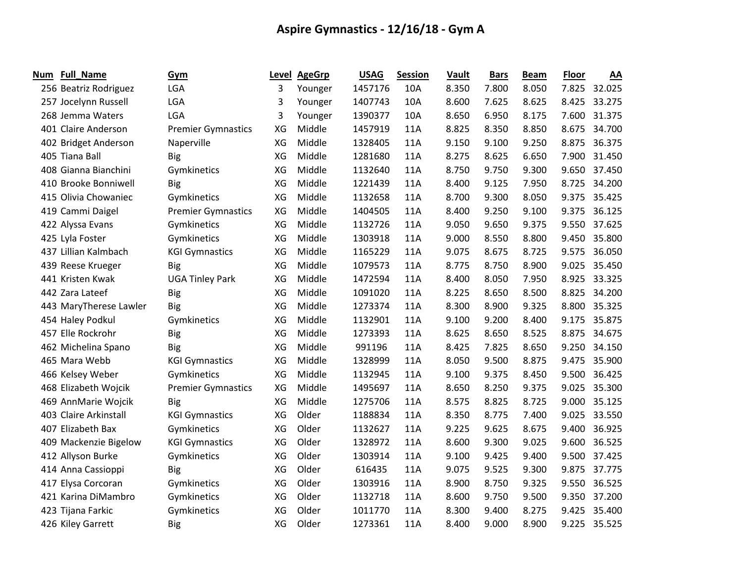| <b>Num</b> | Full_Name              | Gym                       |    | Level AgeGrp | <b>USAG</b> | <b>Session</b> | Vault | <b>Bars</b> | <b>Beam</b> | <b>Floor</b> | AA           |
|------------|------------------------|---------------------------|----|--------------|-------------|----------------|-------|-------------|-------------|--------------|--------------|
|            | 256 Beatriz Rodriguez  | LGA                       | 3  | Younger      | 1457176     | 10A            | 8.350 | 7.800       | 8.050       |              | 7.825 32.025 |
|            | 257 Jocelynn Russell   | LGA                       | 3  | Younger      | 1407743     | 10A            | 8.600 | 7.625       | 8.625       | 8.425        | 33.275       |
|            | 268 Jemma Waters       | LGA                       | 3  | Younger      | 1390377     | 10A            | 8.650 | 6.950       | 8.175       | 7.600        | 31.375       |
|            | 401 Claire Anderson    | <b>Premier Gymnastics</b> | XG | Middle       | 1457919     | 11A            | 8.825 | 8.350       | 8.850       | 8.675        | 34.700       |
|            | 402 Bridget Anderson   | Naperville                | XG | Middle       | 1328405     | 11A            | 9.150 | 9.100       | 9.250       | 8.875        | 36.375       |
|            | 405 Tiana Ball         | <b>Big</b>                | XG | Middle       | 1281680     | 11A            | 8.275 | 8.625       | 6.650       | 7.900        | 31.450       |
|            | 408 Gianna Bianchini   | Gymkinetics               | XG | Middle       | 1132640     | 11A            | 8.750 | 9.750       | 9.300       | 9.650        | 37.450       |
|            | 410 Brooke Bonniwell   | <b>Big</b>                | XG | Middle       | 1221439     | 11A            | 8.400 | 9.125       | 7.950       | 8.725        | 34.200       |
|            | 415 Olivia Chowaniec   | Gymkinetics               | XG | Middle       | 1132658     | 11A            | 8.700 | 9.300       | 8.050       | 9.375        | 35.425       |
|            | 419 Cammi Daigel       | <b>Premier Gymnastics</b> | XG | Middle       | 1404505     | 11A            | 8.400 | 9.250       | 9.100       | 9.375        | 36.125       |
|            | 422 Alyssa Evans       | Gymkinetics               | XG | Middle       | 1132726     | 11A            | 9.050 | 9.650       | 9.375       |              | 9.550 37.625 |
|            | 425 Lyla Foster        | Gymkinetics               | XG | Middle       | 1303918     | 11A            | 9.000 | 8.550       | 8.800       |              | 9.450 35.800 |
|            | 437 Lillian Kalmbach   | <b>KGI Gymnastics</b>     | XG | Middle       | 1165229     | 11A            | 9.075 | 8.675       | 8.725       | 9.575        | 36.050       |
|            | 439 Reese Krueger      | <b>Big</b>                | XG | Middle       | 1079573     | 11A            | 8.775 | 8.750       | 8.900       | 9.025        | 35.450       |
|            | 441 Kristen Kwak       | <b>UGA Tinley Park</b>    | XG | Middle       | 1472594     | 11A            | 8.400 | 8.050       | 7.950       | 8.925        | 33.325       |
|            | 442 Zara Lateef        | <b>Big</b>                | XG | Middle       | 1091020     | 11A            | 8.225 | 8.650       | 8.500       | 8.825        | 34.200       |
|            | 443 MaryTherese Lawler | Big                       | XG | Middle       | 1273374     | 11A            | 8.300 | 8.900       | 9.325       | 8.800        | 35.325       |
|            | 454 Haley Podkul       | Gymkinetics               | XG | Middle       | 1132901     | 11A            | 9.100 | 9.200       | 8.400       | 9.175        | 35.875       |
|            | 457 Elle Rockrohr      | <b>Big</b>                | XG | Middle       | 1273393     | 11A            | 8.625 | 8.650       | 8.525       | 8.875        | 34.675       |
|            | 462 Michelina Spano    | Big                       | XG | Middle       | 991196      | 11A            | 8.425 | 7.825       | 8.650       | 9.250        | 34.150       |
|            | 465 Mara Webb          | <b>KGI Gymnastics</b>     | XG | Middle       | 1328999     | 11A            | 8.050 | 9.500       | 8.875       | 9.475        | 35.900       |
|            | 466 Kelsey Weber       | Gymkinetics               | XG | Middle       | 1132945     | 11A            | 9.100 | 9.375       | 8.450       | 9.500        | 36.425       |
|            | 468 Elizabeth Wojcik   | <b>Premier Gymnastics</b> | XG | Middle       | 1495697     | 11A            | 8.650 | 8.250       | 9.375       | 9.025        | 35.300       |
|            | 469 AnnMarie Wojcik    | <b>Big</b>                | XG | Middle       | 1275706     | 11A            | 8.575 | 8.825       | 8.725       | 9.000        | 35.125       |
|            | 403 Claire Arkinstall  | <b>KGI Gymnastics</b>     | XG | Older        | 1188834     | 11A            | 8.350 | 8.775       | 7.400       | 9.025        | 33.550       |
|            | 407 Elizabeth Bax      | Gymkinetics               | XG | Older        | 1132627     | 11A            | 9.225 | 9.625       | 8.675       | 9.400        | 36.925       |
|            | 409 Mackenzie Bigelow  | <b>KGI Gymnastics</b>     | XG | Older        | 1328972     | 11A            | 8.600 | 9.300       | 9.025       | 9.600        | 36.525       |
|            | 412 Allyson Burke      | Gymkinetics               | XG | Older        | 1303914     | 11A            | 9.100 | 9.425       | 9.400       | 9.500        | 37.425       |
|            | 414 Anna Cassioppi     | <b>Big</b>                | XG | Older        | 616435      | 11A            | 9.075 | 9.525       | 9.300       | 9.875        | 37.775       |
|            | 417 Elysa Corcoran     | Gymkinetics               | XG | Older        | 1303916     | 11A            | 8.900 | 8.750       | 9.325       | 9.550        | 36.525       |
|            | 421 Karina DiMambro    | Gymkinetics               | XG | Older        | 1132718     | 11A            | 8.600 | 9.750       | 9.500       | 9.350        | 37.200       |
|            | 423 Tijana Farkic      | Gymkinetics               | XG | Older        | 1011770     | 11A            | 8.300 | 9.400       | 8.275       | 9.425        | 35.400       |
|            | 426 Kiley Garrett      | <b>Big</b>                | XG | Older        | 1273361     | 11A            | 8.400 | 9.000       | 8.900       | 9.225        | 35.525       |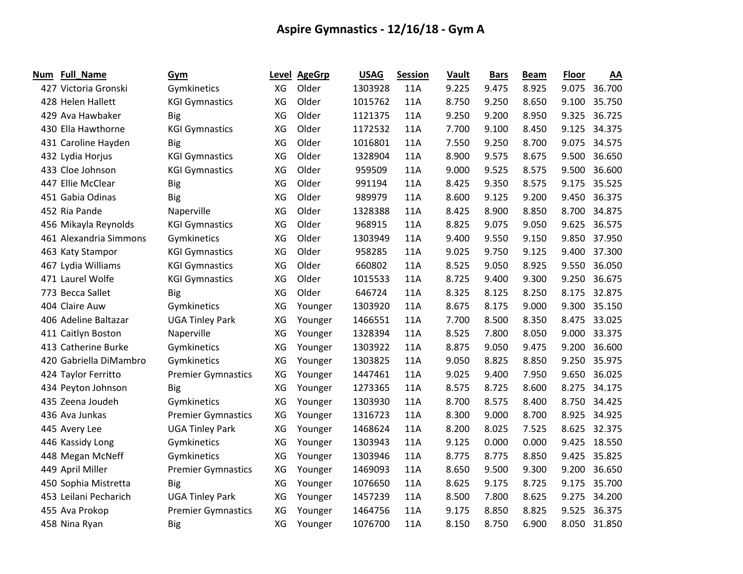| Num | <b>Full_Name</b>       | Gym                       |    | Level AgeGrp | <b>USAG</b> | <b>Session</b> | Vault | <b>Bars</b> | <b>Beam</b> | <b>Floor</b> | AA     |
|-----|------------------------|---------------------------|----|--------------|-------------|----------------|-------|-------------|-------------|--------------|--------|
|     | 427 Victoria Gronski   | Gymkinetics               | XG | Older        | 1303928     | <b>11A</b>     | 9.225 | 9.475       | 8.925       | 9.075        | 36.700 |
|     | 428 Helen Hallett      | <b>KGI Gymnastics</b>     | XG | Older        | 1015762     | 11A            | 8.750 | 9.250       | 8.650       | 9.100        | 35.750 |
|     | 429 Ava Hawbaker       | <b>Big</b>                | XG | Older        | 1121375     | 11A            | 9.250 | 9.200       | 8.950       | 9.325        | 36.725 |
|     | 430 Ella Hawthorne     | <b>KGI Gymnastics</b>     | XG | Older        | 1172532     | 11A            | 7.700 | 9.100       | 8.450       | 9.125        | 34.375 |
|     | 431 Caroline Hayden    | <b>Big</b>                | XG | Older        | 1016801     | 11A            | 7.550 | 9.250       | 8.700       | 9.075        | 34.575 |
|     | 432 Lydia Horjus       | <b>KGI Gymnastics</b>     | XG | Older        | 1328904     | 11A            | 8.900 | 9.575       | 8.675       | 9.500        | 36.650 |
|     | 433 Cloe Johnson       | <b>KGI Gymnastics</b>     | XG | Older        | 959509      | 11A            | 9.000 | 9.525       | 8.575       | 9.500        | 36.600 |
|     | 447 Ellie McClear      | Big                       | XG | Older        | 991194      | 11A            | 8.425 | 9.350       | 8.575       | 9.175        | 35.525 |
|     | 451 Gabia Odinas       | <b>Big</b>                | XG | Older        | 989979      | 11A            | 8.600 | 9.125       | 9.200       | 9.450        | 36.375 |
|     | 452 Ria Pande          | Naperville                | XG | Older        | 1328388     | 11A            | 8.425 | 8.900       | 8.850       | 8.700        | 34.875 |
|     | 456 Mikayla Reynolds   | <b>KGI Gymnastics</b>     | XG | Older        | 968915      | 11A            | 8.825 | 9.075       | 9.050       | 9.625        | 36.575 |
|     | 461 Alexandria Simmons | Gymkinetics               | XG | Older        | 1303949     | 11A            | 9.400 | 9.550       | 9.150       | 9.850        | 37.950 |
|     | 463 Katy Stampor       | <b>KGI Gymnastics</b>     | XG | Older        | 958285      | 11A            | 9.025 | 9.750       | 9.125       | 9.400        | 37.300 |
|     | 467 Lydia Williams     | <b>KGI Gymnastics</b>     | XG | Older        | 660802      | 11A            | 8.525 | 9.050       | 8.925       | 9.550        | 36.050 |
|     | 471 Laurel Wolfe       | <b>KGI Gymnastics</b>     | XG | Older        | 1015533     | 11A            | 8.725 | 9.400       | 9.300       | 9.250        | 36.675 |
|     | 773 Becca Sallet       | <b>Big</b>                | XG | Older        | 646724      | 11A            | 8.325 | 8.125       | 8.250       | 8.175        | 32.875 |
|     | 404 Claire Auw         | Gymkinetics               | ХG | Younger      | 1303920     | 11A            | 8.675 | 8.175       | 9.000       | 9.300        | 35.150 |
|     | 406 Adeline Baltazar   | <b>UGA Tinley Park</b>    | XG | Younger      | 1466551     | 11A            | 7.700 | 8.500       | 8.350       | 8.475        | 33.025 |
|     | 411 Caitlyn Boston     | Naperville                | XG | Younger      | 1328394     | 11A            | 8.525 | 7.800       | 8.050       | 9.000        | 33.375 |
|     | 413 Catherine Burke    | Gymkinetics               | XG | Younger      | 1303922     | 11A            | 8.875 | 9.050       | 9.475       | 9.200        | 36.600 |
|     | 420 Gabriella DiMambro | Gymkinetics               | XG | Younger      | 1303825     | 11A            | 9.050 | 8.825       | 8.850       | 9.250        | 35.975 |
|     | 424 Taylor Ferritto    | <b>Premier Gymnastics</b> | XG | Younger      | 1447461     | 11A            | 9.025 | 9.400       | 7.950       | 9.650        | 36.025 |
|     | 434 Peyton Johnson     | <b>Big</b>                | XG | Younger      | 1273365     | 11A            | 8.575 | 8.725       | 8.600       | 8.275        | 34.175 |
|     | 435 Zeena Joudeh       | Gymkinetics               | XG | Younger      | 1303930     | 11A            | 8.700 | 8.575       | 8.400       | 8.750        | 34.425 |
|     | 436 Ava Junkas         | <b>Premier Gymnastics</b> | XG | Younger      | 1316723     | 11A            | 8.300 | 9.000       | 8.700       | 8.925        | 34.925 |
|     | 445 Avery Lee          | <b>UGA Tinley Park</b>    | ХG | Younger      | 1468624     | 11A            | 8.200 | 8.025       | 7.525       | 8.625        | 32.375 |
|     | 446 Kassidy Long       | Gymkinetics               | XG | Younger      | 1303943     | 11A            | 9.125 | 0.000       | 0.000       | 9.425        | 18.550 |
|     | 448 Megan McNeff       | Gymkinetics               | XG | Younger      | 1303946     | 11A            | 8.775 | 8.775       | 8.850       | 9.425        | 35.825 |
|     | 449 April Miller       | <b>Premier Gymnastics</b> | ХG | Younger      | 1469093     | 11A            | 8.650 | 9.500       | 9.300       | 9.200        | 36.650 |
|     | 450 Sophia Mistretta   | <b>Big</b>                | XG | Younger      | 1076650     | 11A            | 8.625 | 9.175       | 8.725       | 9.175        | 35.700 |
|     | 453 Leilani Pecharich  | <b>UGA Tinley Park</b>    | XG | Younger      | 1457239     | 11A            | 8.500 | 7.800       | 8.625       | 9.275        | 34.200 |
|     | 455 Ava Prokop         | <b>Premier Gymnastics</b> | XG | Younger      | 1464756     | 11A            | 9.175 | 8.850       | 8.825       | 9.525        | 36.375 |
|     | 458 Nina Ryan          | <b>Big</b>                | ХG | Younger      | 1076700     | 11A            | 8.150 | 8.750       | 6.900       | 8.050        | 31.850 |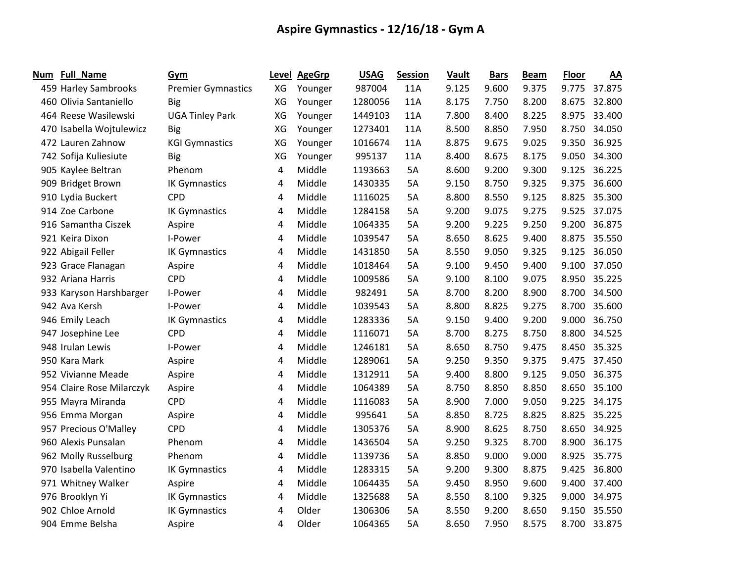| Num | <b>Full_Name</b>          | Gym                       |    | Level AgeGrp | <b>USAG</b> | <b>Session</b> | Vault | <b>Bars</b> | <b>Beam</b> | <b>Floor</b> | AA     |
|-----|---------------------------|---------------------------|----|--------------|-------------|----------------|-------|-------------|-------------|--------------|--------|
|     | 459 Harley Sambrooks      | <b>Premier Gymnastics</b> | XG | Younger      | 987004      | 11A            | 9.125 | 9.600       | 9.375       | 9.775        | 37.875 |
|     | 460 Olivia Santaniello    | <b>Big</b>                | XG | Younger      | 1280056     | 11A            | 8.175 | 7.750       | 8.200       | 8.675        | 32.800 |
|     | 464 Reese Wasilewski      | <b>UGA Tinley Park</b>    | XG | Younger      | 1449103     | 11A            | 7.800 | 8.400       | 8.225       | 8.975        | 33.400 |
|     | 470 Isabella Wojtulewicz  | <b>Big</b>                | XG | Younger      | 1273401     | 11A            | 8.500 | 8.850       | 7.950       | 8.750        | 34.050 |
|     | 472 Lauren Zahnow         | <b>KGI Gymnastics</b>     | XG | Younger      | 1016674     | 11A            | 8.875 | 9.675       | 9.025       | 9.350        | 36.925 |
|     | 742 Sofija Kuliesiute     | <b>Big</b>                | XG | Younger      | 995137      | 11A            | 8.400 | 8.675       | 8.175       | 9.050        | 34.300 |
|     | 905 Kaylee Beltran        | Phenom                    | 4  | Middle       | 1193663     | 5A             | 8.600 | 9.200       | 9.300       | 9.125        | 36.225 |
|     | 909 Bridget Brown         | <b>IK Gymnastics</b>      | 4  | Middle       | 1430335     | 5A             | 9.150 | 8.750       | 9.325       | 9.375        | 36.600 |
|     | 910 Lydia Buckert         | <b>CPD</b>                | 4  | Middle       | 1116025     | 5A             | 8.800 | 8.550       | 9.125       | 8.825        | 35.300 |
|     | 914 Zoe Carbone           | <b>IK Gymnastics</b>      | 4  | Middle       | 1284158     | 5A             | 9.200 | 9.075       | 9.275       | 9.525        | 37.075 |
|     | 916 Samantha Ciszek       | Aspire                    | 4  | Middle       | 1064335     | 5A             | 9.200 | 9.225       | 9.250       | 9.200        | 36.875 |
|     | 921 Keira Dixon           | I-Power                   | 4  | Middle       | 1039547     | 5A             | 8.650 | 8.625       | 9.400       | 8.875        | 35.550 |
|     | 922 Abigail Feller        | IK Gymnastics             | 4  | Middle       | 1431850     | 5A             | 8.550 | 9.050       | 9.325       | 9.125        | 36.050 |
|     | 923 Grace Flanagan        | Aspire                    | 4  | Middle       | 1018464     | 5A             | 9.100 | 9.450       | 9.400       | 9.100        | 37.050 |
|     | 932 Ariana Harris         | <b>CPD</b>                | 4  | Middle       | 1009586     | 5A             | 9.100 | 8.100       | 9.075       | 8.950        | 35.225 |
|     | 933 Karyson Harshbarger   | I-Power                   | 4  | Middle       | 982491      | 5A             | 8.700 | 8.200       | 8.900       | 8.700        | 34.500 |
|     | 942 Ava Kersh             | I-Power                   | 4  | Middle       | 1039543     | 5A             | 8.800 | 8.825       | 9.275       | 8.700        | 35.600 |
|     | 946 Emily Leach           | <b>IK Gymnastics</b>      | 4  | Middle       | 1283336     | 5A             | 9.150 | 9.400       | 9.200       | 9.000        | 36.750 |
|     | 947 Josephine Lee         | <b>CPD</b>                | 4  | Middle       | 1116071     | 5A             | 8.700 | 8.275       | 8.750       | 8.800        | 34.525 |
|     | 948 Irulan Lewis          | I-Power                   | 4  | Middle       | 1246181     | 5A             | 8.650 | 8.750       | 9.475       | 8.450        | 35.325 |
|     | 950 Kara Mark             | Aspire                    | 4  | Middle       | 1289061     | 5A             | 9.250 | 9.350       | 9.375       | 9.475        | 37.450 |
|     | 952 Vivianne Meade        | Aspire                    | 4  | Middle       | 1312911     | 5A             | 9.400 | 8.800       | 9.125       | 9.050        | 36.375 |
|     | 954 Claire Rose Milarczyk | Aspire                    | 4  | Middle       | 1064389     | 5A             | 8.750 | 8.850       | 8.850       | 8.650        | 35.100 |
|     | 955 Mayra Miranda         | <b>CPD</b>                | 4  | Middle       | 1116083     | 5A             | 8.900 | 7.000       | 9.050       | 9.225        | 34.175 |
|     | 956 Emma Morgan           | Aspire                    | 4  | Middle       | 995641      | 5A             | 8.850 | 8.725       | 8.825       | 8.825        | 35.225 |
|     | 957 Precious O'Malley     | <b>CPD</b>                | 4  | Middle       | 1305376     | 5A             | 8.900 | 8.625       | 8.750       | 8.650        | 34.925 |
|     | 960 Alexis Punsalan       | Phenom                    | 4  | Middle       | 1436504     | 5A             | 9.250 | 9.325       | 8.700       | 8.900        | 36.175 |
|     | 962 Molly Russelburg      | Phenom                    | 4  | Middle       | 1139736     | 5A             | 8.850 | 9.000       | 9.000       | 8.925        | 35.775 |
|     | 970 Isabella Valentino    | <b>IK Gymnastics</b>      | 4  | Middle       | 1283315     | 5A             | 9.200 | 9.300       | 8.875       | 9.425        | 36.800 |
|     | 971 Whitney Walker        | Aspire                    | 4  | Middle       | 1064435     | 5A             | 9.450 | 8.950       | 9.600       | 9.400        | 37.400 |
|     | 976 Brooklyn Yi           | <b>IK Gymnastics</b>      | 4  | Middle       | 1325688     | 5A             | 8.550 | 8.100       | 9.325       | 9.000        | 34.975 |
|     | 902 Chloe Arnold          | <b>IK Gymnastics</b>      | 4  | Older        | 1306306     | 5A             | 8.550 | 9.200       | 8.650       | 9.150        | 35.550 |
|     | 904 Emme Belsha           | Aspire                    | 4  | Older        | 1064365     | 5A             | 8.650 | 7.950       | 8.575       | 8.700        | 33.875 |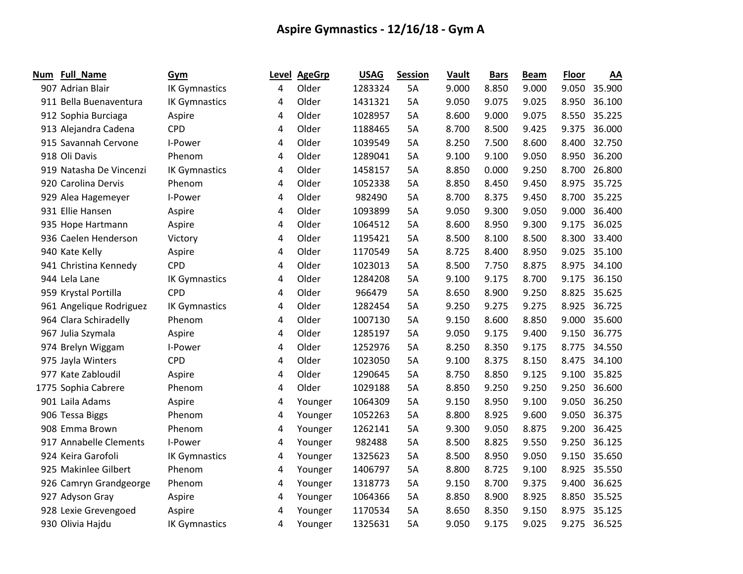| Num | Full_Name               | Gym                  | Level | <b>AgeGrp</b> | <b>USAG</b> | <b>Session</b> | Vault | <b>Bars</b> | <b>Beam</b> | <b>Floor</b> | AA           |
|-----|-------------------------|----------------------|-------|---------------|-------------|----------------|-------|-------------|-------------|--------------|--------------|
|     | 907 Adrian Blair        | <b>IK Gymnastics</b> | 4     | Older         | 1283324     | 5A             | 9.000 | 8.850       | 9.000       | 9.050        | 35.900       |
|     | 911 Bella Buenaventura  | <b>IK Gymnastics</b> | 4     | Older         | 1431321     | 5A             | 9.050 | 9.075       | 9.025       | 8.950        | 36.100       |
|     | 912 Sophia Burciaga     | Aspire               | 4     | Older         | 1028957     | 5A             | 8.600 | 9.000       | 9.075       | 8.550        | 35.225       |
|     | 913 Alejandra Cadena    | <b>CPD</b>           | 4     | Older         | 1188465     | 5A             | 8.700 | 8.500       | 9.425       | 9.375        | 36.000       |
|     | 915 Savannah Cervone    | I-Power              | 4     | Older         | 1039549     | 5A             | 8.250 | 7.500       | 8.600       | 8.400        | 32.750       |
|     | 918 Oli Davis           | Phenom               | 4     | Older         | 1289041     | 5A             | 9.100 | 9.100       | 9.050       | 8.950        | 36.200       |
|     | 919 Natasha De Vincenzi | <b>IK Gymnastics</b> | 4     | Older         | 1458157     | 5A             | 8.850 | 0.000       | 9.250       | 8.700        | 26.800       |
|     | 920 Carolina Dervis     | Phenom               | 4     | Older         | 1052338     | 5A             | 8.850 | 8.450       | 9.450       | 8.975        | 35.725       |
|     | 929 Alea Hagemeyer      | I-Power              | 4     | Older         | 982490      | 5A             | 8.700 | 8.375       | 9.450       | 8.700        | 35.225       |
|     | 931 Ellie Hansen        | Aspire               | 4     | Older         | 1093899     | 5A             | 9.050 | 9.300       | 9.050       | 9.000        | 36.400       |
|     | 935 Hope Hartmann       | Aspire               | 4     | Older         | 1064512     | 5A             | 8.600 | 8.950       | 9.300       | 9.175        | 36.025       |
|     | 936 Caelen Henderson    | Victory              | 4     | Older         | 1195421     | 5A             | 8.500 | 8.100       | 8.500       | 8.300        | 33.400       |
|     | 940 Kate Kelly          | Aspire               | 4     | Older         | 1170549     | 5A             | 8.725 | 8.400       | 8.950       | 9.025        | 35.100       |
|     | 941 Christina Kennedy   | <b>CPD</b>           | 4     | Older         | 1023013     | 5A             | 8.500 | 7.750       | 8.875       | 8.975        | 34.100       |
|     | 944 Lela Lane           | <b>IK Gymnastics</b> | 4     | Older         | 1284208     | 5A             | 9.100 | 9.175       | 8.700       | 9.175        | 36.150       |
|     | 959 Krystal Portilla    | <b>CPD</b>           | 4     | Older         | 966479      | 5A             | 8.650 | 8.900       | 9.250       | 8.825        | 35.625       |
|     | 961 Angelique Rodriguez | <b>IK Gymnastics</b> | 4     | Older         | 1282454     | 5A             | 9.250 | 9.275       | 9.275       | 8.925        | 36.725       |
|     | 964 Clara Schiradelly   | Phenom               | 4     | Older         | 1007130     | 5A             | 9.150 | 8.600       | 8.850       | 9.000        | 35.600       |
|     | 967 Julia Szymala       | Aspire               | 4     | Older         | 1285197     | 5A             | 9.050 | 9.175       | 9.400       | 9.150        | 36.775       |
|     | 974 Brelyn Wiggam       | I-Power              | 4     | Older         | 1252976     | 5A             | 8.250 | 8.350       | 9.175       | 8.775        | 34.550       |
|     | 975 Jayla Winters       | <b>CPD</b>           | 4     | Older         | 1023050     | 5A             | 9.100 | 8.375       | 8.150       | 8.475        | 34.100       |
|     | 977 Kate Zabloudil      | Aspire               | 4     | Older         | 1290645     | 5A             | 8.750 | 8.850       | 9.125       |              | 9.100 35.825 |
|     | 1775 Sophia Cabrere     | Phenom               | 4     | Older         | 1029188     | 5A             | 8.850 | 9.250       | 9.250       | 9.250        | 36.600       |
|     | 901 Laila Adams         | Aspire               | 4     | Younger       | 1064309     | 5A             | 9.150 | 8.950       | 9.100       | 9.050        | 36.250       |
|     | 906 Tessa Biggs         | Phenom               | 4     | Younger       | 1052263     | 5A             | 8.800 | 8.925       | 9.600       | 9.050        | 36.375       |
|     | 908 Emma Brown          | Phenom               | 4     | Younger       | 1262141     | 5A             | 9.300 | 9.050       | 8.875       | 9.200        | 36.425       |
|     | 917 Annabelle Clements  | I-Power              | 4     | Younger       | 982488      | 5A             | 8.500 | 8.825       | 9.550       | 9.250        | 36.125       |
|     | 924 Keira Garofoli      | <b>IK Gymnastics</b> | 4     | Younger       | 1325623     | 5A             | 8.500 | 8.950       | 9.050       | 9.150        | 35.650       |
|     | 925 Makinlee Gilbert    | Phenom               | 4     | Younger       | 1406797     | 5A             | 8.800 | 8.725       | 9.100       | 8.925        | 35.550       |
|     | 926 Camryn Grandgeorge  | Phenom               | 4     | Younger       | 1318773     | 5A             | 9.150 | 8.700       | 9.375       | 9.400        | 36.625       |
|     | 927 Adyson Gray         | Aspire               | 4     | Younger       | 1064366     | 5A             | 8.850 | 8.900       | 8.925       | 8.850        | 35.525       |
|     | 928 Lexie Grevengoed    | Aspire               | 4     | Younger       | 1170534     | 5A             | 8.650 | 8.350       | 9.150       | 8.975        | 35.125       |
|     | 930 Olivia Hajdu        | <b>IK Gymnastics</b> | 4     | Younger       | 1325631     | 5A             | 9.050 | 9.175       | 9.025       | 9.275        | 36.525       |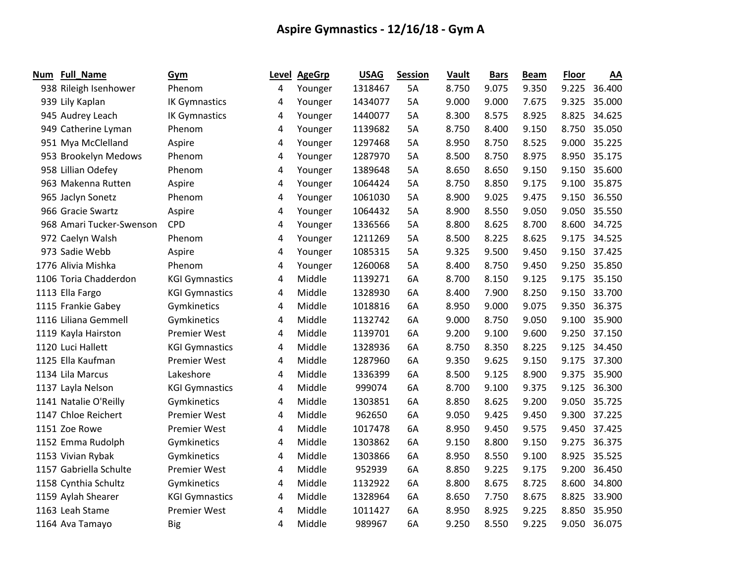| Num | <b>Full_Name</b>         | Gym                   | Level | <b>AgeGrp</b> | <b>USAG</b> | <b>Session</b> | Vault | <b>Bars</b> | <b>Beam</b> | <b>Floor</b> | AA     |
|-----|--------------------------|-----------------------|-------|---------------|-------------|----------------|-------|-------------|-------------|--------------|--------|
|     | 938 Rileigh Isenhower    | Phenom                | 4     | Younger       | 1318467     | 5A             | 8.750 | 9.075       | 9.350       | 9.225        | 36.400 |
|     | 939 Lily Kaplan          | <b>IK Gymnastics</b>  | 4     | Younger       | 1434077     | 5A             | 9.000 | 9.000       | 7.675       | 9.325        | 35.000 |
|     | 945 Audrey Leach         | <b>IK Gymnastics</b>  | 4     | Younger       | 1440077     | 5A             | 8.300 | 8.575       | 8.925       | 8.825        | 34.625 |
|     | 949 Catherine Lyman      | Phenom                | 4     | Younger       | 1139682     | 5A             | 8.750 | 8.400       | 9.150       | 8.750        | 35.050 |
|     | 951 Mya McClelland       | Aspire                | 4     | Younger       | 1297468     | 5A             | 8.950 | 8.750       | 8.525       | 9.000        | 35.225 |
|     | 953 Brookelyn Medows     | Phenom                | 4     | Younger       | 1287970     | 5A             | 8.500 | 8.750       | 8.975       | 8.950        | 35.175 |
|     | 958 Lillian Odefey       | Phenom                | 4     | Younger       | 1389648     | 5A             | 8.650 | 8.650       | 9.150       | 9.150        | 35.600 |
|     | 963 Makenna Rutten       | Aspire                | 4     | Younger       | 1064424     | 5A             | 8.750 | 8.850       | 9.175       | 9.100        | 35.875 |
|     | 965 Jaclyn Sonetz        | Phenom                | 4     | Younger       | 1061030     | 5A             | 8.900 | 9.025       | 9.475       | 9.150        | 36.550 |
|     | 966 Gracie Swartz        | Aspire                | 4     | Younger       | 1064432     | 5A             | 8.900 | 8.550       | 9.050       | 9.050        | 35.550 |
|     | 968 Amari Tucker-Swenson | <b>CPD</b>            | 4     | Younger       | 1336566     | 5A             | 8.800 | 8.625       | 8.700       | 8.600        | 34.725 |
|     | 972 Caelyn Walsh         | Phenom                | 4     | Younger       | 1211269     | 5A             | 8.500 | 8.225       | 8.625       | 9.175        | 34.525 |
|     | 973 Sadie Webb           | Aspire                | 4     | Younger       | 1085315     | 5A             | 9.325 | 9.500       | 9.450       | 9.150        | 37.425 |
|     | 1776 Alivia Mishka       | Phenom                | 4     | Younger       | 1260068     | 5A             | 8.400 | 8.750       | 9.450       | 9.250        | 35.850 |
|     | 1106 Toria Chadderdon    | <b>KGI Gymnastics</b> | 4     | Middle        | 1139271     | 6A             | 8.700 | 8.150       | 9.125       | 9.175        | 35.150 |
|     | 1113 Ella Fargo          | <b>KGI Gymnastics</b> | 4     | Middle        | 1328930     | 6A             | 8.400 | 7.900       | 8.250       | 9.150        | 33.700 |
|     | 1115 Frankie Gabey       | Gymkinetics           | 4     | Middle        | 1018816     | 6A             | 8.950 | 9.000       | 9.075       | 9.350        | 36.375 |
|     | 1116 Liliana Gemmell     | Gymkinetics           | 4     | Middle        | 1132742     | 6A             | 9.000 | 8.750       | 9.050       | 9.100        | 35.900 |
|     | 1119 Kayla Hairston      | <b>Premier West</b>   | 4     | Middle        | 1139701     | 6A             | 9.200 | 9.100       | 9.600       | 9.250        | 37.150 |
|     | 1120 Luci Hallett        | <b>KGI Gymnastics</b> | 4     | Middle        | 1328936     | 6A             | 8.750 | 8.350       | 8.225       | 9.125        | 34.450 |
|     | 1125 Ella Kaufman        | <b>Premier West</b>   | 4     | Middle        | 1287960     | 6A             | 9.350 | 9.625       | 9.150       | 9.175        | 37.300 |
|     | 1134 Lila Marcus         | Lakeshore             | 4     | Middle        | 1336399     | 6A             | 8.500 | 9.125       | 8.900       | 9.375        | 35.900 |
|     | 1137 Layla Nelson        | <b>KGI Gymnastics</b> | 4     | Middle        | 999074      | 6A             | 8.700 | 9.100       | 9.375       | 9.125        | 36.300 |
|     | 1141 Natalie O'Reilly    | Gymkinetics           | 4     | Middle        | 1303851     | 6A             | 8.850 | 8.625       | 9.200       | 9.050        | 35.725 |
|     | 1147 Chloe Reichert      | <b>Premier West</b>   | 4     | Middle        | 962650      | 6A             | 9.050 | 9.425       | 9.450       | 9.300        | 37.225 |
|     | 1151 Zoe Rowe            | <b>Premier West</b>   | 4     | Middle        | 1017478     | 6A             | 8.950 | 9.450       | 9.575       | 9.450        | 37.425 |
|     | 1152 Emma Rudolph        | Gymkinetics           | 4     | Middle        | 1303862     | 6A             | 9.150 | 8.800       | 9.150       | 9.275        | 36.375 |
|     | 1153 Vivian Rybak        | Gymkinetics           | 4     | Middle        | 1303866     | 6A             | 8.950 | 8.550       | 9.100       | 8.925        | 35.525 |
|     | 1157 Gabriella Schulte   | <b>Premier West</b>   | 4     | Middle        | 952939      | 6A             | 8.850 | 9.225       | 9.175       | 9.200        | 36.450 |
|     | 1158 Cynthia Schultz     | Gymkinetics           | 4     | Middle        | 1132922     | 6A             | 8.800 | 8.675       | 8.725       | 8.600        | 34.800 |
|     | 1159 Aylah Shearer       | <b>KGI Gymnastics</b> | 4     | Middle        | 1328964     | 6A             | 8.650 | 7.750       | 8.675       | 8.825        | 33.900 |
|     | 1163 Leah Stame          | <b>Premier West</b>   | 4     | Middle        | 1011427     | 6A             | 8.950 | 8.925       | 9.225       | 8.850        | 35.950 |
|     | 1164 Ava Tamayo          | <b>Big</b>            | 4     | Middle        | 989967      | 6A             | 9.250 | 8.550       | 9.225       | 9.050        | 36.075 |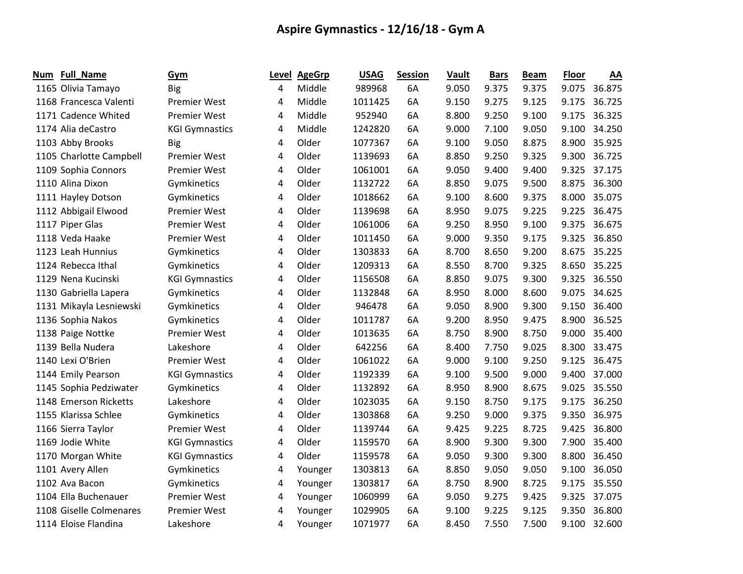| Num | <b>Full_Name</b>        | Gym                   | Level | <b>AgeGrp</b> | <b>USAG</b> | <b>Session</b> | Vault | <b>Bars</b> | <b>Beam</b> | <b>Floor</b> | AA           |
|-----|-------------------------|-----------------------|-------|---------------|-------------|----------------|-------|-------------|-------------|--------------|--------------|
|     | 1165 Olivia Tamayo      | <b>Big</b>            | 4     | Middle        | 989968      | 6A             | 9.050 | 9.375       | 9.375       |              | 9.075 36.875 |
|     | 1168 Francesca Valenti  | <b>Premier West</b>   | 4     | Middle        | 1011425     | 6A             | 9.150 | 9.275       | 9.125       | 9.175        | 36.725       |
|     | 1171 Cadence Whited     | <b>Premier West</b>   | 4     | Middle        | 952940      | 6A             | 8.800 | 9.250       | 9.100       | 9.175        | 36.325       |
|     | 1174 Alia deCastro      | <b>KGI Gymnastics</b> | 4     | Middle        | 1242820     | 6A             | 9.000 | 7.100       | 9.050       | 9.100        | 34.250       |
|     | 1103 Abby Brooks        | <b>Big</b>            | 4     | Older         | 1077367     | 6A             | 9.100 | 9.050       | 8.875       | 8.900        | 35.925       |
|     | 1105 Charlotte Campbell | <b>Premier West</b>   | 4     | Older         | 1139693     | 6A             | 8.850 | 9.250       | 9.325       | 9.300        | 36.725       |
|     | 1109 Sophia Connors     | <b>Premier West</b>   | 4     | Older         | 1061001     | 6A             | 9.050 | 9.400       | 9.400       | 9.325        | 37.175       |
|     | 1110 Alina Dixon        | Gymkinetics           | 4     | Older         | 1132722     | 6A             | 8.850 | 9.075       | 9.500       | 8.875        | 36.300       |
|     | 1111 Hayley Dotson      | Gymkinetics           | 4     | Older         | 1018662     | 6A             | 9.100 | 8.600       | 9.375       | 8.000        | 35.075       |
|     | 1112 Abbigail Elwood    | <b>Premier West</b>   | 4     | Older         | 1139698     | 6A             | 8.950 | 9.075       | 9.225       | 9.225        | 36.475       |
|     | 1117 Piper Glas         | <b>Premier West</b>   | 4     | Older         | 1061006     | 6A             | 9.250 | 8.950       | 9.100       | 9.375        | 36.675       |
|     | 1118 Veda Haake         | <b>Premier West</b>   | 4     | Older         | 1011450     | 6A             | 9.000 | 9.350       | 9.175       | 9.325        | 36.850       |
|     | 1123 Leah Hunnius       | Gymkinetics           | 4     | Older         | 1303833     | 6A             | 8.700 | 8.650       | 9.200       | 8.675        | 35.225       |
|     | 1124 Rebecca Ithal      | Gymkinetics           | 4     | Older         | 1209313     | 6A             | 8.550 | 8.700       | 9.325       | 8.650        | 35.225       |
|     | 1129 Nena Kucinski      | <b>KGI Gymnastics</b> | 4     | Older         | 1156508     | 6A             | 8.850 | 9.075       | 9.300       | 9.325        | 36.550       |
|     | 1130 Gabriella Lapera   | Gymkinetics           | 4     | Older         | 1132848     | 6A             | 8.950 | 8.000       | 8.600       | 9.075        | 34.625       |
|     | 1131 Mikayla Lesniewski | Gymkinetics           | 4     | Older         | 946478      | 6A             | 9.050 | 8.900       | 9.300       | 9.150        | 36.400       |
|     | 1136 Sophia Nakos       | Gymkinetics           | 4     | Older         | 1011787     | 6A             | 9.200 | 8.950       | 9.475       | 8.900        | 36.525       |
|     | 1138 Paige Nottke       | <b>Premier West</b>   | 4     | Older         | 1013635     | 6A             | 8.750 | 8.900       | 8.750       | 9.000        | 35.400       |
|     | 1139 Bella Nudera       | Lakeshore             | 4     | Older         | 642256      | 6A             | 8.400 | 7.750       | 9.025       | 8.300        | 33.475       |
|     | 1140 Lexi O'Brien       | <b>Premier West</b>   | 4     | Older         | 1061022     | 6A             | 9.000 | 9.100       | 9.250       | 9.125        | 36.475       |
|     | 1144 Emily Pearson      | <b>KGI Gymnastics</b> | 4     | Older         | 1192339     | 6A             | 9.100 | 9.500       | 9.000       | 9.400        | 37.000       |
|     | 1145 Sophia Pedziwater  | Gymkinetics           | 4     | Older         | 1132892     | 6A             | 8.950 | 8.900       | 8.675       | 9.025        | 35.550       |
|     | 1148 Emerson Ricketts   | Lakeshore             | 4     | Older         | 1023035     | 6A             | 9.150 | 8.750       | 9.175       | 9.175        | 36.250       |
|     | 1155 Klarissa Schlee    | Gymkinetics           | 4     | Older         | 1303868     | 6A             | 9.250 | 9.000       | 9.375       | 9.350        | 36.975       |
|     | 1166 Sierra Taylor      | <b>Premier West</b>   | 4     | Older         | 1139744     | 6A             | 9.425 | 9.225       | 8.725       | 9.425        | 36.800       |
|     | 1169 Jodie White        | <b>KGI Gymnastics</b> | 4     | Older         | 1159570     | 6A             | 8.900 | 9.300       | 9.300       | 7.900        | 35.400       |
|     | 1170 Morgan White       | <b>KGI Gymnastics</b> | 4     | Older         | 1159578     | 6A             | 9.050 | 9.300       | 9.300       | 8.800        | 36.450       |
|     | 1101 Avery Allen        | Gymkinetics           | 4     | Younger       | 1303813     | 6A             | 8.850 | 9.050       | 9.050       | 9.100        | 36.050       |
|     | 1102 Ava Bacon          | Gymkinetics           | 4     | Younger       | 1303817     | 6A             | 8.750 | 8.900       | 8.725       | 9.175        | 35.550       |
|     | 1104 Ella Buchenauer    | <b>Premier West</b>   | 4     | Younger       | 1060999     | 6A             | 9.050 | 9.275       | 9.425       | 9.325        | 37.075       |
|     | 1108 Giselle Colmenares | <b>Premier West</b>   | 4     | Younger       | 1029905     | 6A             | 9.100 | 9.225       | 9.125       | 9.350        | 36.800       |
|     | 1114 Eloise Flandina    | Lakeshore             | 4     | Younger       | 1071977     | 6A             | 8.450 | 7.550       | 7.500       | 9.100        | 32.600       |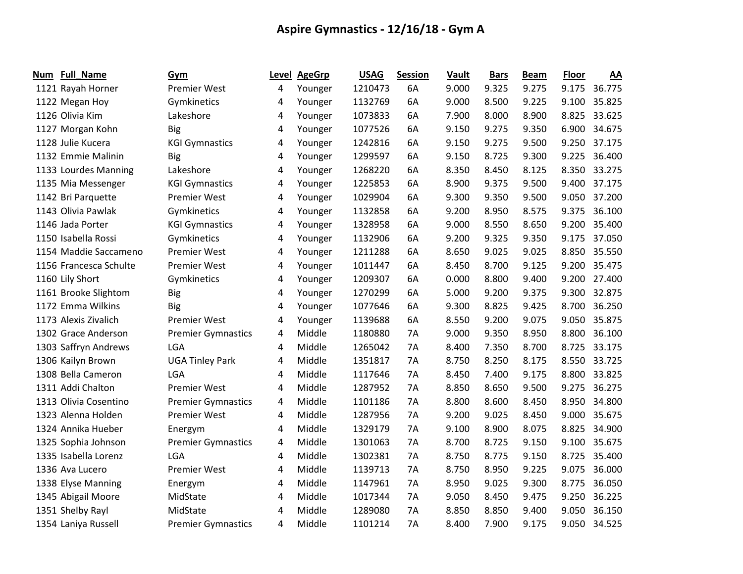| Num | Full_Name              | Gym                       |   | Level AgeGrp | <b>USAG</b> | <b>Session</b> | Vault | <b>Bars</b> | <b>Beam</b> | <b>Floor</b> | AA           |
|-----|------------------------|---------------------------|---|--------------|-------------|----------------|-------|-------------|-------------|--------------|--------------|
|     | 1121 Rayah Horner      | <b>Premier West</b>       | 4 | Younger      | 1210473     | 6A             | 9.000 | 9.325       | 9.275       | 9.175        | 36.775       |
|     | 1122 Megan Hoy         | Gymkinetics               | 4 | Younger      | 1132769     | 6A             | 9.000 | 8.500       | 9.225       | 9.100        | 35.825       |
|     | 1126 Olivia Kim        | Lakeshore                 | 4 | Younger      | 1073833     | 6A             | 7.900 | 8.000       | 8.900       | 8.825        | 33.625       |
|     | 1127 Morgan Kohn       | <b>Big</b>                | 4 | Younger      | 1077526     | 6A             | 9.150 | 9.275       | 9.350       | 6.900        | 34.675       |
|     | 1128 Julie Kucera      | <b>KGI Gymnastics</b>     | 4 | Younger      | 1242816     | 6A             | 9.150 | 9.275       | 9.500       | 9.250        | 37.175       |
|     | 1132 Emmie Malinin     | <b>Big</b>                | 4 | Younger      | 1299597     | 6A             | 9.150 | 8.725       | 9.300       | 9.225        | 36.400       |
|     | 1133 Lourdes Manning   | Lakeshore                 | 4 | Younger      | 1268220     | 6A             | 8.350 | 8.450       | 8.125       | 8.350        | 33.275       |
|     | 1135 Mia Messenger     | <b>KGI Gymnastics</b>     | 4 | Younger      | 1225853     | 6A             | 8.900 | 9.375       | 9.500       | 9.400        | 37.175       |
|     | 1142 Bri Parquette     | <b>Premier West</b>       | 4 | Younger      | 1029904     | 6A             | 9.300 | 9.350       | 9.500       | 9.050        | 37.200       |
|     | 1143 Olivia Pawlak     | Gymkinetics               | 4 | Younger      | 1132858     | 6A             | 9.200 | 8.950       | 8.575       | 9.375        | 36.100       |
|     | 1146 Jada Porter       | <b>KGI Gymnastics</b>     | 4 | Younger      | 1328958     | 6A             | 9.000 | 8.550       | 8.650       | 9.200        | 35.400       |
|     | 1150 Isabella Rossi    | Gymkinetics               | 4 | Younger      | 1132906     | 6A             | 9.200 | 9.325       | 9.350       |              | 9.175 37.050 |
|     | 1154 Maddie Saccameno  | <b>Premier West</b>       | 4 | Younger      | 1211288     | 6A             | 8.650 | 9.025       | 9.025       | 8.850        | 35.550       |
|     | 1156 Francesca Schulte | <b>Premier West</b>       | 4 | Younger      | 1011447     | 6A             | 8.450 | 8.700       | 9.125       | 9.200        | 35.475       |
|     | 1160 Lily Short        | Gymkinetics               | 4 | Younger      | 1209307     | 6A             | 0.000 | 8.800       | 9.400       | 9.200        | 27.400       |
|     | 1161 Brooke Slightom   | <b>Big</b>                | 4 | Younger      | 1270299     | 6A             | 5.000 | 9.200       | 9.375       | 9.300        | 32.875       |
|     | 1172 Emma Wilkins      | <b>Big</b>                | 4 | Younger      | 1077646     | 6A             | 9.300 | 8.825       | 9.425       | 8.700        | 36.250       |
|     | 1173 Alexis Zivalich   | <b>Premier West</b>       | 4 | Younger      | 1139688     | 6A             | 8.550 | 9.200       | 9.075       | 9.050        | 35.875       |
|     | 1302 Grace Anderson    | <b>Premier Gymnastics</b> | 4 | Middle       | 1180880     | <b>7A</b>      | 9.000 | 9.350       | 8.950       | 8.800        | 36.100       |
|     | 1303 Saffryn Andrews   | LGA                       | 4 | Middle       | 1265042     | <b>7A</b>      | 8.400 | 7.350       | 8.700       | 8.725        | 33.175       |
|     | 1306 Kailyn Brown      | <b>UGA Tinley Park</b>    | 4 | Middle       | 1351817     | 7A             | 8.750 | 8.250       | 8.175       | 8.550        | 33.725       |
|     | 1308 Bella Cameron     | <b>LGA</b>                | 4 | Middle       | 1117646     | 7A             | 8.450 | 7.400       | 9.175       | 8.800        | 33.825       |
|     | 1311 Addi Chalton      | <b>Premier West</b>       | 4 | Middle       | 1287952     | 7A             | 8.850 | 8.650       | 9.500       | 9.275        | 36.275       |
|     | 1313 Olivia Cosentino  | <b>Premier Gymnastics</b> | 4 | Middle       | 1101186     | 7A             | 8.800 | 8.600       | 8.450       | 8.950        | 34.800       |
|     | 1323 Alenna Holden     | <b>Premier West</b>       | 4 | Middle       | 1287956     | 7A             | 9.200 | 9.025       | 8.450       | 9.000        | 35.675       |
|     | 1324 Annika Hueber     | Energym                   | 4 | Middle       | 1329179     | 7A             | 9.100 | 8.900       | 8.075       | 8.825        | 34.900       |
|     | 1325 Sophia Johnson    | <b>Premier Gymnastics</b> | 4 | Middle       | 1301063     | <b>7A</b>      | 8.700 | 8.725       | 9.150       | 9.100        | 35.675       |
|     | 1335 Isabella Lorenz   | <b>LGA</b>                | 4 | Middle       | 1302381     | <b>7A</b>      | 8.750 | 8.775       | 9.150       | 8.725        | 35.400       |
|     | 1336 Ava Lucero        | <b>Premier West</b>       | 4 | Middle       | 1139713     | 7A             | 8.750 | 8.950       | 9.225       | 9.075        | 36.000       |
|     | 1338 Elyse Manning     | Energym                   | 4 | Middle       | 1147961     | <b>7A</b>      | 8.950 | 9.025       | 9.300       | 8.775        | 36.050       |
|     | 1345 Abigail Moore     | MidState                  | 4 | Middle       | 1017344     | 7A             | 9.050 | 8.450       | 9.475       | 9.250        | 36.225       |
|     | 1351 Shelby Rayl       | MidState                  | 4 | Middle       | 1289080     | 7A             | 8.850 | 8.850       | 9.400       | 9.050        | 36.150       |
|     | 1354 Laniya Russell    | <b>Premier Gymnastics</b> | 4 | Middle       | 1101214     | 7A             | 8.400 | 7.900       | 9.175       | 9.050        | 34.525       |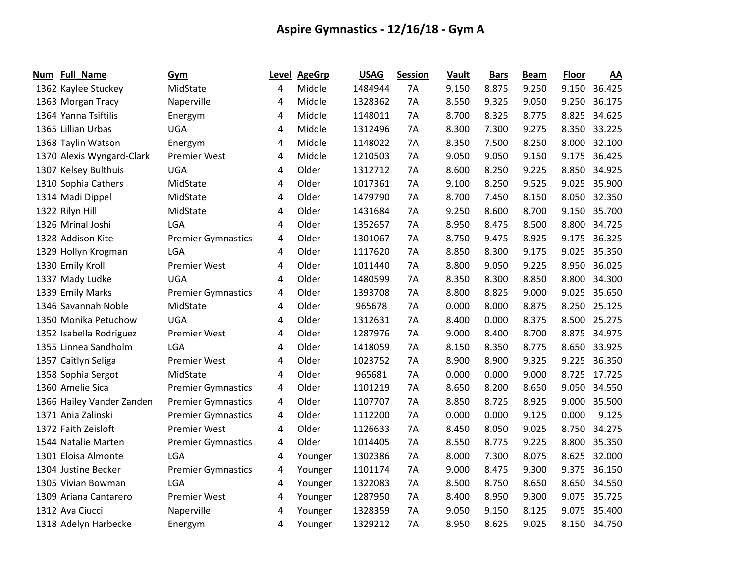| Num | <b>Full_Name</b>          | Gym                       | Level | <b>AgeGrp</b> | <b>USAG</b> | <b>Session</b> | Vault | <b>Bars</b> | <b>Beam</b> | <b>Floor</b> | AA     |
|-----|---------------------------|---------------------------|-------|---------------|-------------|----------------|-------|-------------|-------------|--------------|--------|
|     | 1362 Kaylee Stuckey       | MidState                  | 4     | Middle        | 1484944     | 7A             | 9.150 | 8.875       | 9.250       | 9.150        | 36.425 |
|     | 1363 Morgan Tracy         | Naperville                | 4     | Middle        | 1328362     | 7A             | 8.550 | 9.325       | 9.050       | 9.250        | 36.175 |
|     | 1364 Yanna Tsiftilis      | Energym                   | 4     | Middle        | 1148011     | 7A             | 8.700 | 8.325       | 8.775       | 8.825        | 34.625 |
|     | 1365 Lillian Urbas        | <b>UGA</b>                | 4     | Middle        | 1312496     | 7A             | 8.300 | 7.300       | 9.275       | 8.350        | 33.225 |
|     | 1368 Taylin Watson        | Energym                   | 4     | Middle        | 1148022     | 7A             | 8.350 | 7.500       | 8.250       | 8.000        | 32.100 |
|     | 1370 Alexis Wyngard-Clark | <b>Premier West</b>       | 4     | Middle        | 1210503     | 7A             | 9.050 | 9.050       | 9.150       | 9.175        | 36.425 |
|     | 1307 Kelsey Bulthuis      | <b>UGA</b>                | 4     | Older         | 1312712     | 7A             | 8.600 | 8.250       | 9.225       | 8.850        | 34.925 |
|     | 1310 Sophia Cathers       | MidState                  | 4     | Older         | 1017361     | 7A             | 9.100 | 8.250       | 9.525       | 9.025        | 35.900 |
|     | 1314 Madi Dippel          | MidState                  | 4     | Older         | 1479790     | 7A             | 8.700 | 7.450       | 8.150       | 8.050        | 32.350 |
|     | 1322 Rilyn Hill           | MidState                  | 4     | Older         | 1431684     | 7A             | 9.250 | 8.600       | 8.700       | 9.150        | 35.700 |
|     | 1326 Mrinal Joshi         | <b>LGA</b>                | 4     | Older         | 1352657     | 7A             | 8.950 | 8.475       | 8.500       | 8.800        | 34.725 |
|     | 1328 Addison Kite         | <b>Premier Gymnastics</b> | 4     | Older         | 1301067     | 7A             | 8.750 | 9.475       | 8.925       | 9.175        | 36.325 |
|     | 1329 Hollyn Krogman       | <b>LGA</b>                | 4     | Older         | 1117620     | 7Α             | 8.850 | 8.300       | 9.175       | 9.025        | 35.350 |
|     | 1330 Emily Kroll          | <b>Premier West</b>       | 4     | Older         | 1011440     | 7A             | 8.800 | 9.050       | 9.225       | 8.950        | 36.025 |
|     | 1337 Mady Ludke           | <b>UGA</b>                | 4     | Older         | 1480599     | 7A             | 8.350 | 8.300       | 8.850       | 8.800        | 34.300 |
|     | 1339 Emily Marks          | <b>Premier Gymnastics</b> | 4     | Older         | 1393708     | 7A             | 8.800 | 8.825       | 9.000       | 9.025        | 35.650 |
|     | 1346 Savannah Noble       | MidState                  | 4     | Older         | 965678      | 7A             | 0.000 | 8.000       | 8.875       | 8.250        | 25.125 |
|     | 1350 Monika Petuchow      | <b>UGA</b>                | 4     | Older         | 1312631     | <b>7A</b>      | 8.400 | 0.000       | 8.375       | 8.500        | 25.275 |
|     | 1352 Isabella Rodriguez   | Premier West              | 4     | Older         | 1287976     | 7A             | 9.000 | 8.400       | 8.700       | 8.875        | 34.975 |
|     | 1355 Linnea Sandholm      | LGA                       | 4     | Older         | 1418059     | 7A             | 8.150 | 8.350       | 8.775       | 8.650        | 33.925 |
|     | 1357 Caitlyn Seliga       | <b>Premier West</b>       | 4     | Older         | 1023752     | 7A             | 8.900 | 8.900       | 9.325       | 9.225        | 36.350 |
|     | 1358 Sophia Sergot        | MidState                  | 4     | Older         | 965681      | 7A             | 0.000 | 0.000       | 9.000       | 8.725        | 17.725 |
|     | 1360 Amelie Sica          | <b>Premier Gymnastics</b> | 4     | Older         | 1101219     | 7A             | 8.650 | 8.200       | 8.650       | 9.050        | 34.550 |
|     | 1366 Hailey Vander Zanden | <b>Premier Gymnastics</b> | 4     | Older         | 1107707     | 7A             | 8.850 | 8.725       | 8.925       | 9.000        | 35.500 |
|     | 1371 Ania Zalinski        | <b>Premier Gymnastics</b> | 4     | Older         | 1112200     | 7A             | 0.000 | 0.000       | 9.125       | 0.000        | 9.125  |
|     | 1372 Faith Zeisloft       | <b>Premier West</b>       | 4     | Older         | 1126633     | 7A             | 8.450 | 8.050       | 9.025       | 8.750        | 34.275 |
|     | 1544 Natalie Marten       | <b>Premier Gymnastics</b> | 4     | Older         | 1014405     | 7A             | 8.550 | 8.775       | 9.225       | 8.800        | 35.350 |
|     | 1301 Eloisa Almonte       | <b>LGA</b>                | 4     | Younger       | 1302386     | 7A             | 8.000 | 7.300       | 8.075       | 8.625        | 32.000 |
|     | 1304 Justine Becker       | <b>Premier Gymnastics</b> | 4     | Younger       | 1101174     | 7A             | 9.000 | 8.475       | 9.300       | 9.375        | 36.150 |
|     | 1305 Vivian Bowman        | <b>LGA</b>                | 4     | Younger       | 1322083     | 7A             | 8.500 | 8.750       | 8.650       | 8.650        | 34.550 |
|     | 1309 Ariana Cantarero     | <b>Premier West</b>       | 4     | Younger       | 1287950     | 7A             | 8.400 | 8.950       | 9.300       | 9.075        | 35.725 |
|     | 1312 Ava Ciucci           | Naperville                | 4     | Younger       | 1328359     | 7A             | 9.050 | 9.150       | 8.125       | 9.075        | 35.400 |
|     | 1318 Adelyn Harbecke      | Energym                   | 4     | Younger       | 1329212     | 7A             | 8.950 | 8.625       | 9.025       | 8.150        | 34.750 |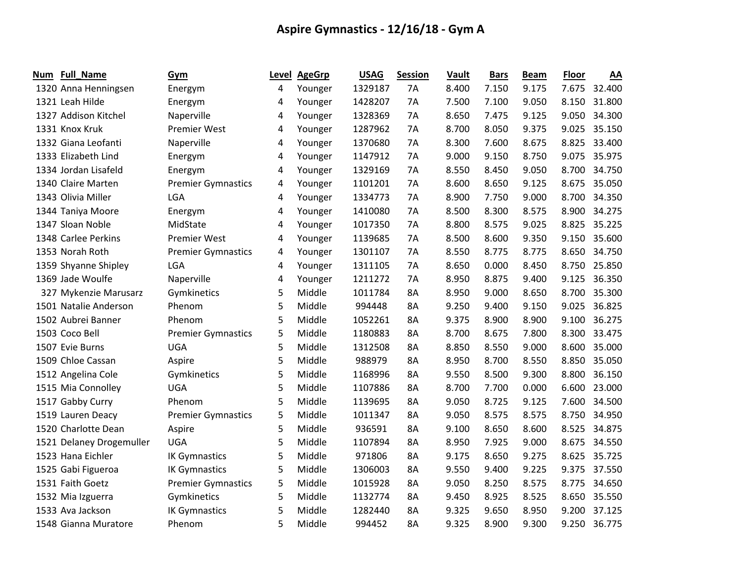| Num | Full_Name                | Gym                       |   | Level AgeGrp | <b>USAG</b> | <b>Session</b> | Vault | <b>Bars</b> | <b>Beam</b> | Floor | AA           |
|-----|--------------------------|---------------------------|---|--------------|-------------|----------------|-------|-------------|-------------|-------|--------------|
|     | 1320 Anna Henningsen     | Energym                   | 4 | Younger      | 1329187     | <b>7A</b>      | 8.400 | 7.150       | 9.175       | 7.675 | 32.400       |
|     | 1321 Leah Hilde          | Energym                   | 4 | Younger      | 1428207     | 7A             | 7.500 | 7.100       | 9.050       | 8.150 | 31.800       |
|     | 1327 Addison Kitchel     | Naperville                | 4 | Younger      | 1328369     | 7A             | 8.650 | 7.475       | 9.125       | 9.050 | 34.300       |
|     | 1331 Knox Kruk           | <b>Premier West</b>       | 4 | Younger      | 1287962     | 7Α             | 8.700 | 8.050       | 9.375       | 9.025 | 35.150       |
|     | 1332 Giana Leofanti      | Naperville                | 4 | Younger      | 1370680     | 7A             | 8.300 | 7.600       | 8.675       | 8.825 | 33.400       |
|     | 1333 Elizabeth Lind      | Energym                   | 4 | Younger      | 1147912     | 7A             | 9.000 | 9.150       | 8.750       | 9.075 | 35.975       |
|     | 1334 Jordan Lisafeld     | Energym                   | 4 | Younger      | 1329169     | 7A             | 8.550 | 8.450       | 9.050       | 8.700 | 34.750       |
|     | 1340 Claire Marten       | <b>Premier Gymnastics</b> | 4 | Younger      | 1101201     | 7A             | 8.600 | 8.650       | 9.125       | 8.675 | 35.050       |
|     | 1343 Olivia Miller       | LGA                       | 4 | Younger      | 1334773     | 7A             | 8.900 | 7.750       | 9.000       | 8.700 | 34.350       |
|     | 1344 Taniya Moore        | Energym                   | 4 | Younger      | 1410080     | 7A             | 8.500 | 8.300       | 8.575       | 8.900 | 34.275       |
|     | 1347 Sloan Noble         | MidState                  | 4 | Younger      | 1017350     | 7A             | 8.800 | 8.575       | 9.025       | 8.825 | 35.225       |
|     | 1348 Carlee Perkins      | <b>Premier West</b>       | 4 | Younger      | 1139685     | 7A             | 8.500 | 8.600       | 9.350       |       | 9.150 35.600 |
|     | 1353 Norah Roth          | <b>Premier Gymnastics</b> | 4 | Younger      | 1301107     | 7A             | 8.550 | 8.775       | 8.775       | 8.650 | 34.750       |
|     | 1359 Shyanne Shipley     | LGA                       | 4 | Younger      | 1311105     | 7A             | 8.650 | 0.000       | 8.450       | 8.750 | 25.850       |
|     | 1369 Jade Woulfe         | Naperville                | 4 | Younger      | 1211272     | 7A             | 8.950 | 8.875       | 9.400       | 9.125 | 36.350       |
|     | 327 Mykenzie Marusarz    | Gymkinetics               | 5 | Middle       | 1011784     | 8A             | 8.950 | 9.000       | 8.650       | 8.700 | 35.300       |
|     | 1501 Natalie Anderson    | Phenom                    | 5 | Middle       | 994448      | 8A             | 9.250 | 9.400       | 9.150       | 9.025 | 36.825       |
|     | 1502 Aubrei Banner       | Phenom                    | 5 | Middle       | 1052261     | 8A             | 9.375 | 8.900       | 8.900       | 9.100 | 36.275       |
|     | 1503 Coco Bell           | <b>Premier Gymnastics</b> | 5 | Middle       | 1180883     | 8A             | 8.700 | 8.675       | 7.800       | 8.300 | 33.475       |
|     | 1507 Evie Burns          | <b>UGA</b>                | 5 | Middle       | 1312508     | 8A             | 8.850 | 8.550       | 9.000       | 8.600 | 35.000       |
|     | 1509 Chloe Cassan        | Aspire                    | 5 | Middle       | 988979      | 8A             | 8.950 | 8.700       | 8.550       | 8.850 | 35.050       |
|     | 1512 Angelina Cole       | Gymkinetics               | 5 | Middle       | 1168996     | 8A             | 9.550 | 8.500       | 9.300       | 8.800 | 36.150       |
|     | 1515 Mia Connolley       | <b>UGA</b>                | 5 | Middle       | 1107886     | 8A             | 8.700 | 7.700       | 0.000       | 6.600 | 23.000       |
|     | 1517 Gabby Curry         | Phenom                    | 5 | Middle       | 1139695     | 8A             | 9.050 | 8.725       | 9.125       | 7.600 | 34.500       |
|     | 1519 Lauren Deacy        | <b>Premier Gymnastics</b> | 5 | Middle       | 1011347     | 8A             | 9.050 | 8.575       | 8.575       | 8.750 | 34.950       |
|     | 1520 Charlotte Dean      | Aspire                    | 5 | Middle       | 936591      | 8A             | 9.100 | 8.650       | 8.600       | 8.525 | 34.875       |
|     | 1521 Delaney Drogemuller | <b>UGA</b>                | 5 | Middle       | 1107894     | 8A             | 8.950 | 7.925       | 9.000       | 8.675 | 34.550       |
|     | 1523 Hana Eichler        | <b>IK Gymnastics</b>      | 5 | Middle       | 971806      | 8A             | 9.175 | 8.650       | 9.275       | 8.625 | 35.725       |
|     | 1525 Gabi Figueroa       | <b>IK Gymnastics</b>      | 5 | Middle       | 1306003     | 8A             | 9.550 | 9.400       | 9.225       | 9.375 | 37.550       |
|     | 1531 Faith Goetz         | <b>Premier Gymnastics</b> | 5 | Middle       | 1015928     | 8A             | 9.050 | 8.250       | 8.575       | 8.775 | 34.650       |
|     | 1532 Mia Izguerra        | Gymkinetics               | 5 | Middle       | 1132774     | 8A             | 9.450 | 8.925       | 8.525       |       | 8.650 35.550 |
|     | 1533 Ava Jackson         | <b>IK Gymnastics</b>      | 5 | Middle       | 1282440     | 8A             | 9.325 | 9.650       | 8.950       | 9.200 | 37.125       |
|     | 1548 Gianna Muratore     | Phenom                    | 5 | Middle       | 994452      | 8A             | 9.325 | 8.900       | 9.300       | 9.250 | 36.775       |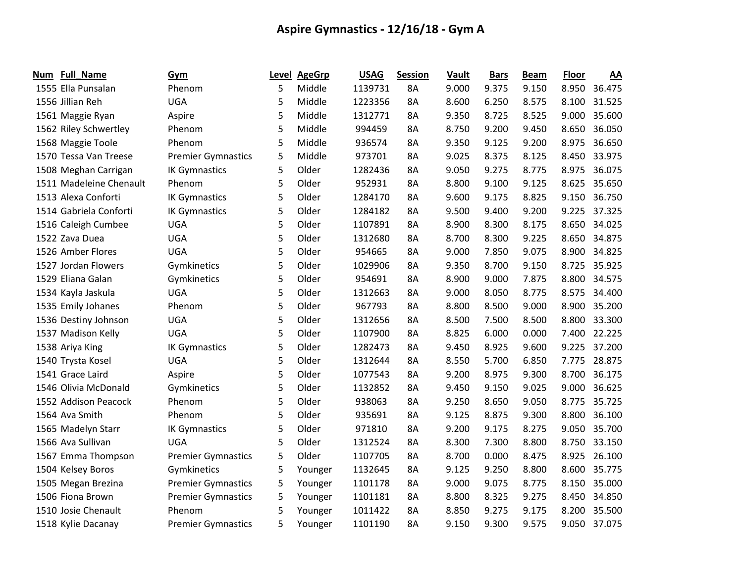| Num | <b>Full_Name</b>        | Gym                       | Level | <b>AgeGrp</b> | <b>USAG</b> | <b>Session</b> | <b>Vault</b> | <b>Bars</b> | <b>Beam</b> | <b>Floor</b> | AA     |
|-----|-------------------------|---------------------------|-------|---------------|-------------|----------------|--------------|-------------|-------------|--------------|--------|
|     | 1555 Ella Punsalan      | Phenom                    | 5     | Middle        | 1139731     | 8A             | 9.000        | 9.375       | 9.150       | 8.950        | 36.475 |
|     | 1556 Jillian Reh        | <b>UGA</b>                | 5     | Middle        | 1223356     | 8A             | 8.600        | 6.250       | 8.575       | 8.100        | 31.525 |
|     | 1561 Maggie Ryan        | Aspire                    | 5     | Middle        | 1312771     | 8A             | 9.350        | 8.725       | 8.525       | 9.000        | 35.600 |
|     | 1562 Riley Schwertley   | Phenom                    | 5     | Middle        | 994459      | 8A             | 8.750        | 9.200       | 9.450       | 8.650        | 36.050 |
|     | 1568 Maggie Toole       | Phenom                    | 5     | Middle        | 936574      | 8A             | 9.350        | 9.125       | 9.200       | 8.975        | 36.650 |
|     | 1570 Tessa Van Treese   | <b>Premier Gymnastics</b> | 5     | Middle        | 973701      | 8A             | 9.025        | 8.375       | 8.125       | 8.450        | 33.975 |
|     | 1508 Meghan Carrigan    | <b>IK Gymnastics</b>      | 5     | Older         | 1282436     | 8A             | 9.050        | 9.275       | 8.775       | 8.975        | 36.075 |
|     | 1511 Madeleine Chenault | Phenom                    | 5     | Older         | 952931      | 8A             | 8.800        | 9.100       | 9.125       | 8.625        | 35.650 |
|     | 1513 Alexa Conforti     | <b>IK Gymnastics</b>      | 5     | Older         | 1284170     | 8A             | 9.600        | 9.175       | 8.825       | 9.150        | 36.750 |
|     | 1514 Gabriela Conforti  | <b>IK Gymnastics</b>      | 5     | Older         | 1284182     | 8A             | 9.500        | 9.400       | 9.200       | 9.225        | 37.325 |
|     | 1516 Caleigh Cumbee     | <b>UGA</b>                | 5     | Older         | 1107891     | 8A             | 8.900        | 8.300       | 8.175       | 8.650        | 34.025 |
|     | 1522 Zava Duea          | <b>UGA</b>                | 5     | Older         | 1312680     | 8A             | 8.700        | 8.300       | 9.225       | 8.650        | 34.875 |
|     | 1526 Amber Flores       | <b>UGA</b>                | 5     | Older         | 954665      | 8A             | 9.000        | 7.850       | 9.075       | 8.900        | 34.825 |
|     | 1527 Jordan Flowers     | Gymkinetics               | 5     | Older         | 1029906     | 8A             | 9.350        | 8.700       | 9.150       | 8.725        | 35.925 |
|     | 1529 Eliana Galan       | Gymkinetics               | 5     | Older         | 954691      | 8A             | 8.900        | 9.000       | 7.875       | 8.800        | 34.575 |
|     | 1534 Kayla Jaskula      | <b>UGA</b>                | 5     | Older         | 1312663     | 8A             | 9.000        | 8.050       | 8.775       | 8.575        | 34.400 |
|     | 1535 Emily Johanes      | Phenom                    | 5     | Older         | 967793      | 8A             | 8.800        | 8.500       | 9.000       | 8.900        | 35.200 |
|     | 1536 Destiny Johnson    | <b>UGA</b>                | 5     | Older         | 1312656     | 8A             | 8.500        | 7.500       | 8.500       | 8.800        | 33.300 |
|     | 1537 Madison Kelly      | <b>UGA</b>                | 5     | Older         | 1107900     | 8A             | 8.825        | 6.000       | 0.000       | 7.400        | 22.225 |
|     | 1538 Ariya King         | <b>IK Gymnastics</b>      | 5     | Older         | 1282473     | 8A             | 9.450        | 8.925       | 9.600       | 9.225        | 37.200 |
|     | 1540 Trysta Kosel       | <b>UGA</b>                | 5     | Older         | 1312644     | 8A             | 8.550        | 5.700       | 6.850       | 7.775        | 28.875 |
|     | 1541 Grace Laird        | Aspire                    | 5     | Older         | 1077543     | 8A             | 9.200        | 8.975       | 9.300       | 8.700        | 36.175 |
|     | 1546 Olivia McDonald    | Gymkinetics               | 5     | Older         | 1132852     | 8A             | 9.450        | 9.150       | 9.025       | 9.000        | 36.625 |
|     | 1552 Addison Peacock    | Phenom                    | 5     | Older         | 938063      | 8A             | 9.250        | 8.650       | 9.050       | 8.775        | 35.725 |
|     | 1564 Ava Smith          | Phenom                    | 5     | Older         | 935691      | 8A             | 9.125        | 8.875       | 9.300       | 8.800        | 36.100 |
|     | 1565 Madelyn Starr      | <b>IK Gymnastics</b>      | 5     | Older         | 971810      | 8A             | 9.200        | 9.175       | 8.275       | 9.050        | 35.700 |
|     | 1566 Ava Sullivan       | <b>UGA</b>                | 5     | Older         | 1312524     | 8A             | 8.300        | 7.300       | 8.800       | 8.750        | 33.150 |
|     | 1567 Emma Thompson      | <b>Premier Gymnastics</b> | 5     | Older         | 1107705     | 8A             | 8.700        | 0.000       | 8.475       | 8.925        | 26.100 |
|     | 1504 Kelsey Boros       | Gymkinetics               | 5     | Younger       | 1132645     | 8A             | 9.125        | 9.250       | 8.800       | 8.600        | 35.775 |
|     | 1505 Megan Brezina      | <b>Premier Gymnastics</b> | 5     | Younger       | 1101178     | 8A             | 9.000        | 9.075       | 8.775       | 8.150        | 35.000 |
|     | 1506 Fiona Brown        | <b>Premier Gymnastics</b> | 5     | Younger       | 1101181     | 8A             | 8.800        | 8.325       | 9.275       | 8.450        | 34.850 |
|     | 1510 Josie Chenault     | Phenom                    | 5     | Younger       | 1011422     | 8A             | 8.850        | 9.275       | 9.175       | 8.200        | 35.500 |
|     | 1518 Kylie Dacanay      | <b>Premier Gymnastics</b> | 5     | Younger       | 1101190     | 8A             | 9.150        | 9.300       | 9.575       | 9.050        | 37.075 |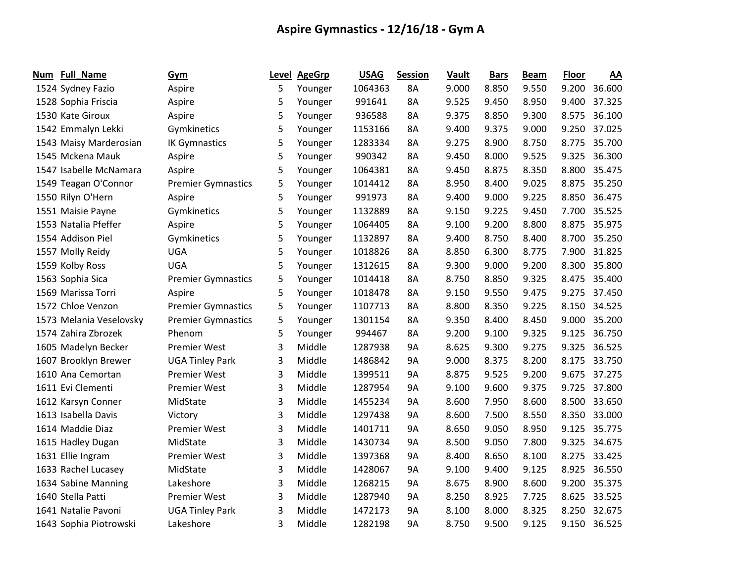| Num | Full_Name               | Gym                       |   | Level AgeGrp | <b>USAG</b> | <b>Session</b> | Vault | <b>Bars</b> | <b>Beam</b> | <b>Floor</b> | AA           |
|-----|-------------------------|---------------------------|---|--------------|-------------|----------------|-------|-------------|-------------|--------------|--------------|
|     | 1524 Sydney Fazio       | Aspire                    | 5 | Younger      | 1064363     | 8A             | 9.000 | 8.850       | 9.550       | 9.200        | 36.600       |
|     | 1528 Sophia Friscia     | Aspire                    | 5 | Younger      | 991641      | 8A             | 9.525 | 9.450       | 8.950       | 9.400        | 37.325       |
|     | 1530 Kate Giroux        | Aspire                    | 5 | Younger      | 936588      | 8A             | 9.375 | 8.850       | 9.300       | 8.575        | 36.100       |
|     | 1542 Emmalyn Lekki      | Gymkinetics               | 5 | Younger      | 1153166     | 8A             | 9.400 | 9.375       | 9.000       | 9.250        | 37.025       |
|     | 1543 Maisy Marderosian  | <b>IK Gymnastics</b>      | 5 | Younger      | 1283334     | 8A             | 9.275 | 8.900       | 8.750       | 8.775        | 35.700       |
|     | 1545 Mckena Mauk        | Aspire                    | 5 | Younger      | 990342      | 8A             | 9.450 | 8.000       | 9.525       | 9.325        | 36.300       |
|     | 1547 Isabelle McNamara  | Aspire                    | 5 | Younger      | 1064381     | 8A             | 9.450 | 8.875       | 8.350       | 8.800        | 35.475       |
|     | 1549 Teagan O'Connor    | <b>Premier Gymnastics</b> | 5 | Younger      | 1014412     | 8A             | 8.950 | 8.400       | 9.025       | 8.875        | 35.250       |
|     | 1550 Rilyn O'Hern       | Aspire                    | 5 | Younger      | 991973      | 8A             | 9.400 | 9.000       | 9.225       | 8.850        | 36.475       |
|     | 1551 Maisie Payne       | Gymkinetics               | 5 | Younger      | 1132889     | 8A             | 9.150 | 9.225       | 9.450       | 7.700        | 35.525       |
|     | 1553 Natalia Pfeffer    | Aspire                    | 5 | Younger      | 1064405     | 8A             | 9.100 | 9.200       | 8.800       | 8.875        | 35.975       |
|     | 1554 Addison Piel       | Gymkinetics               | 5 | Younger      | 1132897     | 8A             | 9.400 | 8.750       | 8.400       |              | 8.700 35.250 |
|     | 1557 Molly Reidy        | <b>UGA</b>                | 5 | Younger      | 1018826     | 8A             | 8.850 | 6.300       | 8.775       | 7.900        | 31.825       |
|     | 1559 Kolby Ross         | <b>UGA</b>                | 5 | Younger      | 1312615     | 8A             | 9.300 | 9.000       | 9.200       | 8.300        | 35.800       |
|     | 1563 Sophia Sica        | <b>Premier Gymnastics</b> | 5 | Younger      | 1014418     | 8A             | 8.750 | 8.850       | 9.325       | 8.475        | 35.400       |
|     | 1569 Marissa Torri      | Aspire                    | 5 | Younger      | 1018478     | 8A             | 9.150 | 9.550       | 9.475       | 9.275        | 37.450       |
|     | 1572 Chloe Venzon       | <b>Premier Gymnastics</b> | 5 | Younger      | 1107713     | 8A             | 8.800 | 8.350       | 9.225       | 8.150        | 34.525       |
|     | 1573 Melania Veselovsky | <b>Premier Gymnastics</b> | 5 | Younger      | 1301154     | 8A             | 9.350 | 8.400       | 8.450       | 9.000        | 35.200       |
|     | 1574 Zahira Zbrozek     | Phenom                    | 5 | Younger      | 994467      | 8A             | 9.200 | 9.100       | 9.325       | 9.125        | 36.750       |
|     | 1605 Madelyn Becker     | <b>Premier West</b>       | 3 | Middle       | 1287938     | <b>9A</b>      | 8.625 | 9.300       | 9.275       | 9.325        | 36.525       |
|     | 1607 Brooklyn Brewer    | <b>UGA Tinley Park</b>    | 3 | Middle       | 1486842     | 9A             | 9.000 | 8.375       | 8.200       | 8.175        | 33.750       |
|     | 1610 Ana Cemortan       | <b>Premier West</b>       | 3 | Middle       | 1399511     | 9A             | 8.875 | 9.525       | 9.200       | 9.675        | 37.275       |
|     | 1611 Evi Clementi       | <b>Premier West</b>       | 3 | Middle       | 1287954     | <b>9A</b>      | 9.100 | 9.600       | 9.375       | 9.725        | 37.800       |
|     | 1612 Karsyn Conner      | MidState                  | 3 | Middle       | 1455234     | 9A             | 8.600 | 7.950       | 8.600       | 8.500        | 33.650       |
|     | 1613 Isabella Davis     | Victory                   | 3 | Middle       | 1297438     | 9A             | 8.600 | 7.500       | 8.550       | 8.350        | 33.000       |
|     | 1614 Maddie Diaz        | <b>Premier West</b>       | 3 | Middle       | 1401711     | 9A             | 8.650 | 9.050       | 8.950       | 9.125        | 35.775       |
|     | 1615 Hadley Dugan       | MidState                  | 3 | Middle       | 1430734     | <b>9A</b>      | 8.500 | 9.050       | 7.800       | 9.325        | 34.675       |
|     | 1631 Ellie Ingram       | <b>Premier West</b>       | 3 | Middle       | 1397368     | 9Α             | 8.400 | 8.650       | 8.100       | 8.275        | 33.425       |
|     | 1633 Rachel Lucasey     | MidState                  | 3 | Middle       | 1428067     | <b>9A</b>      | 9.100 | 9.400       | 9.125       | 8.925        | 36.550       |
|     | 1634 Sabine Manning     | Lakeshore                 | 3 | Middle       | 1268215     | <b>9A</b>      | 8.675 | 8.900       | 8.600       | 9.200        | 35.375       |
|     | 1640 Stella Patti       | <b>Premier West</b>       | 3 | Middle       | 1287940     | <b>9A</b>      | 8.250 | 8.925       | 7.725       | 8.625        | 33.525       |
|     | 1641 Natalie Pavoni     | <b>UGA Tinley Park</b>    | 3 | Middle       | 1472173     | 9A             | 8.100 | 8.000       | 8.325       | 8.250        | 32.675       |
|     | 1643 Sophia Piotrowski  | Lakeshore                 | 3 | Middle       | 1282198     | <b>9A</b>      | 8.750 | 9.500       | 9.125       |              | 9.150 36.525 |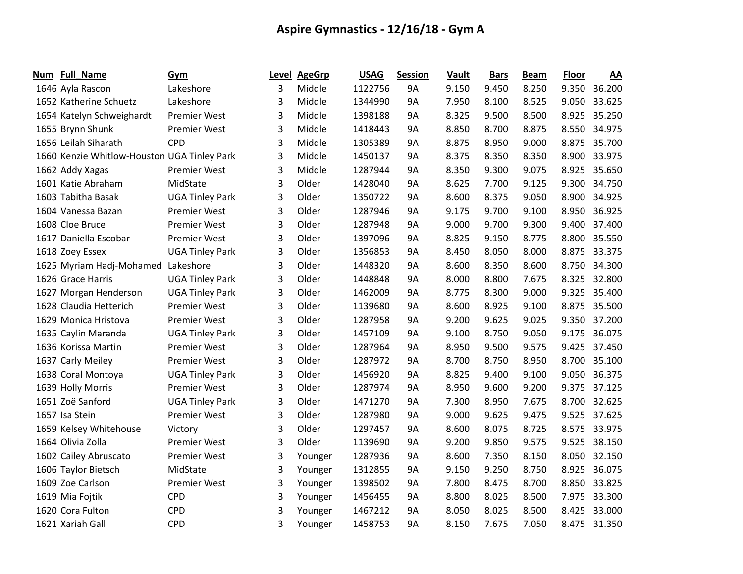| Num | Full_Name                                   | Gym                    | Level | <b>AgeGrp</b> | <b>USAG</b> | <b>Session</b> | Vault | <b>Bars</b> | <b>Beam</b> | <b>Floor</b> | AA           |
|-----|---------------------------------------------|------------------------|-------|---------------|-------------|----------------|-------|-------------|-------------|--------------|--------------|
|     | 1646 Ayla Rascon                            | Lakeshore              | 3     | Middle        | 1122756     | <b>9A</b>      | 9.150 | 9.450       | 8.250       | 9.350        | 36.200       |
|     | 1652 Katherine Schuetz                      | Lakeshore              | 3     | Middle        | 1344990     | 9A             | 7.950 | 8.100       | 8.525       | 9.050        | 33.625       |
|     | 1654 Katelyn Schweighardt                   | <b>Premier West</b>    | 3     | Middle        | 1398188     | 9A             | 8.325 | 9.500       | 8.500       | 8.925        | 35.250       |
|     | 1655 Brynn Shunk                            | <b>Premier West</b>    | 3     | Middle        | 1418443     | 9A             | 8.850 | 8.700       | 8.875       | 8.550        | 34.975       |
|     | 1656 Leilah Siharath                        | <b>CPD</b>             | 3     | Middle        | 1305389     | 9A             | 8.875 | 8.950       | 9.000       | 8.875        | 35.700       |
|     | 1660 Kenzie Whitlow-Houston UGA Tinley Park |                        | 3     | Middle        | 1450137     | 9A             | 8.375 | 8.350       | 8.350       | 8.900        | 33.975       |
|     | 1662 Addy Xagas                             | <b>Premier West</b>    | 3     | Middle        | 1287944     | <b>9A</b>      | 8.350 | 9.300       | 9.075       | 8.925        | 35.650       |
|     | 1601 Katie Abraham                          | MidState               | 3     | Older         | 1428040     | 9A             | 8.625 | 7.700       | 9.125       | 9.300        | 34.750       |
|     | 1603 Tabitha Basak                          | <b>UGA Tinley Park</b> | 3     | Older         | 1350722     | 9A             | 8.600 | 8.375       | 9.050       | 8.900        | 34.925       |
|     | 1604 Vanessa Bazan                          | <b>Premier West</b>    | 3     | Older         | 1287946     | <b>9A</b>      | 9.175 | 9.700       | 9.100       | 8.950        | 36.925       |
|     | 1608 Cloe Bruce                             | <b>Premier West</b>    | 3     | Older         | 1287948     | 9A             | 9.000 | 9.700       | 9.300       | 9.400        | 37.400       |
|     | 1617 Daniella Escobar                       | <b>Premier West</b>    | 3     | Older         | 1397096     | 9A             | 8.825 | 9.150       | 8.775       | 8.800        | 35.550       |
|     | 1618 Zoey Essex                             | <b>UGA Tinley Park</b> | 3     | Older         | 1356853     | 9A             | 8.450 | 8.050       | 8.000       | 8.875        | 33.375       |
|     | 1625 Myriam Hadj-Mohamed                    | Lakeshore              | 3     | Older         | 1448320     | 9A             | 8.600 | 8.350       | 8.600       | 8.750        | 34.300       |
|     | 1626 Grace Harris                           | <b>UGA Tinley Park</b> | 3     | Older         | 1448848     | 9A             | 8.000 | 8.800       | 7.675       | 8.325        | 32.800       |
|     | 1627 Morgan Henderson                       | <b>UGA Tinley Park</b> | 3     | Older         | 1462009     | <b>9A</b>      | 8.775 | 8.300       | 9.000       | 9.325        | 35.400       |
|     | 1628 Claudia Hetterich                      | <b>Premier West</b>    | 3     | Older         | 1139680     | 9A             | 8.600 | 8.925       | 9.100       | 8.875        | 35.500       |
|     | 1629 Monica Hristova                        | <b>Premier West</b>    | 3     | Older         | 1287958     | 9A             | 9.200 | 9.625       | 9.025       | 9.350        | 37.200       |
|     | 1635 Caylin Maranda                         | <b>UGA Tinley Park</b> | 3     | Older         | 1457109     | 9A             | 9.100 | 8.750       | 9.050       | 9.175        | 36.075       |
|     | 1636 Korissa Martin                         | <b>Premier West</b>    | 3     | Older         | 1287964     | 9A             | 8.950 | 9.500       | 9.575       | 9.425        | 37.450       |
|     | 1637 Carly Meiley                           | <b>Premier West</b>    | 3     | Older         | 1287972     | 9A             | 8.700 | 8.750       | 8.950       |              | 8.700 35.100 |
|     | 1638 Coral Montoya                          | <b>UGA Tinley Park</b> | 3     | Older         | 1456920     | 9A             | 8.825 | 9.400       | 9.100       |              | 9.050 36.375 |
|     | 1639 Holly Morris                           | <b>Premier West</b>    | 3     | Older         | 1287974     | <b>9A</b>      | 8.950 | 9.600       | 9.200       | 9.375        | 37.125       |
|     | 1651 Zoë Sanford                            | <b>UGA Tinley Park</b> | 3     | Older         | 1471270     | 9A             | 7.300 | 8.950       | 7.675       | 8.700        | 32.625       |
|     | 1657 Isa Stein                              | <b>Premier West</b>    | 3     | Older         | 1287980     | 9A             | 9.000 | 9.625       | 9.475       | 9.525        | 37.625       |
|     | 1659 Kelsey Whitehouse                      | Victory                | 3     | Older         | 1297457     | 9A             | 8.600 | 8.075       | 8.725       | 8.575        | 33.975       |
|     | 1664 Olivia Zolla                           | <b>Premier West</b>    | 3     | Older         | 1139690     | 9A             | 9.200 | 9.850       | 9.575       | 9.525        | 38.150       |
|     | 1602 Cailey Abruscato                       | <b>Premier West</b>    | 3     | Younger       | 1287936     | 9A             | 8.600 | 7.350       | 8.150       | 8.050        | 32.150       |
|     | 1606 Taylor Bietsch                         | MidState               | 3     | Younger       | 1312855     | <b>9A</b>      | 9.150 | 9.250       | 8.750       | 8.925        | 36.075       |
|     | 1609 Zoe Carlson                            | <b>Premier West</b>    | 3     | Younger       | 1398502     | 9A             | 7.800 | 8.475       | 8.700       | 8.850        | 33.825       |
|     | 1619 Mia Fojtik                             | <b>CPD</b>             | 3     | Younger       | 1456455     | 9A             | 8.800 | 8.025       | 8.500       | 7.975        | 33.300       |
|     | 1620 Cora Fulton                            | <b>CPD</b>             | 3     | Younger       | 1467212     | 9A             | 8.050 | 8.025       | 8.500       | 8.425        | 33.000       |
|     | 1621 Xariah Gall                            | <b>CPD</b>             | 3     | Younger       | 1458753     | 9Α             | 8.150 | 7.675       | 7.050       | 8.475        | 31.350       |